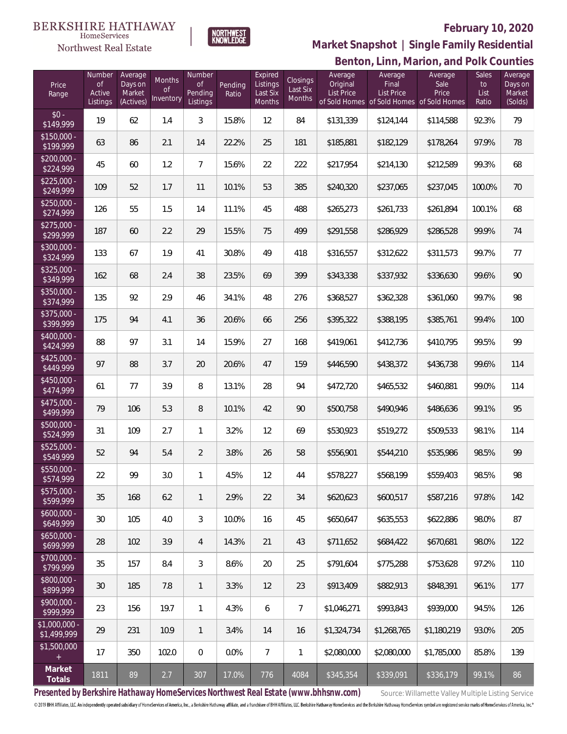Northwest Real Estate



### **February 10, 2020**

**Benton, Linn, Marion, and Polk Counties Market Snapshot | Single Family Residential**

| Price<br>Range                | Number<br><b>of</b><br>Active<br>Listings | Average<br>Days on<br>Market<br>(Actives) | Months<br>0f<br>Inventory | Number<br><b>of</b><br>Pending<br>Listings | Pending<br>Ratio | Expired<br>Listings<br>Last Six<br>Months | Closings<br>Last Six<br><b>Months</b> | Average<br>Original<br><b>List Price</b> | Average<br>Final<br><b>List Price</b><br>of Sold Homes of Sold Homes of Sold Homes | Average<br>Sale<br>Price | Sales<br>to<br>List<br>Ratio | Average<br>Days on<br>Market<br>(Solds) |
|-------------------------------|-------------------------------------------|-------------------------------------------|---------------------------|--------------------------------------------|------------------|-------------------------------------------|---------------------------------------|------------------------------------------|------------------------------------------------------------------------------------|--------------------------|------------------------------|-----------------------------------------|
| $$0 -$<br>\$149,999           | 19                                        | 62                                        | 1.4                       | 3                                          | 15.8%            | 12                                        | 84                                    | \$131,339                                | \$124,144                                                                          | \$114,588                | 92.3%                        | 79                                      |
| $$150,000 -$<br>\$199,999     | 63                                        | 86                                        | 2.1                       | 14                                         | 22.2%            | 25                                        | 181                                   | \$185,881                                | \$182,129                                                                          | \$178,264                | 97.9%                        | 78                                      |
| $$200,000 -$<br>\$224,999     | 45                                        | 60                                        | 1.2                       | $7\overline{ }$                            | 15.6%            | 22                                        | 222                                   | \$217,954                                | \$214,130                                                                          | \$212,589                | 99.3%                        | 68                                      |
| $$225,000 -$<br>\$249,999     | 109                                       | 52                                        | 1.7                       | 11                                         | 10.1%            | 53                                        | 385                                   | \$240,320                                | \$237,065                                                                          | \$237,045                | 100.0%                       | 70                                      |
| $$250,000 -$<br>\$274,999     | 126                                       | 55                                        | 1.5                       | 14                                         | 11.1%            | 45                                        | 488                                   | \$265,273                                | \$261,733                                                                          | \$261,894                | 100.1%                       | 68                                      |
| $$275,000 -$<br>\$299,999     | 187                                       | 60                                        | 2.2                       | 29                                         | 15.5%            | 75                                        | 499                                   | \$291,558                                | \$286,929                                                                          | \$286,528                | 99.9%                        | 74                                      |
| $$300,000 -$<br>\$324,999     | 133                                       | 67                                        | 1.9                       | 41                                         | 30.8%            | 49                                        | 418                                   | \$316,557                                | \$312,622                                                                          | \$311,573                | 99.7%                        | 77                                      |
| $$325,000 -$<br>\$349,999     | 162                                       | 68                                        | 2.4                       | 38                                         | 23.5%            | 69                                        | 399                                   | \$343,338                                | \$337,932                                                                          | \$336,630                | 99.6%                        | 90                                      |
| $$350,000 -$<br>\$374,999     | 135                                       | 92                                        | 2.9                       | 46                                         | 34.1%            | 48                                        | 276                                   | \$368,527                                | \$362,328                                                                          | \$361,060                | 99.7%                        | 98                                      |
| $$375,000 -$<br>\$399,999     | 175                                       | 94                                        | 4.1                       | 36                                         | 20.6%            | 66                                        | 256                                   | \$395,322                                | \$388,195                                                                          | \$385,761                | 99.4%                        | 100                                     |
| $$400.000 -$<br>\$424,999     | 88                                        | 97                                        | 3.1                       | 14                                         | 15.9%            | 27                                        | 168                                   | \$419,061                                | \$412,736                                                                          | \$410,795                | 99.5%                        | 99                                      |
| $$425,000 -$<br>\$449,999     | 97                                        | 88                                        | 3.7                       | 20                                         | 20.6%            | 47                                        | 159                                   | \$446,590                                | \$438,372                                                                          | \$436,738                | 99.6%                        | 114                                     |
| $$450,000 -$<br>\$474,999     | 61                                        | 77                                        | 3.9                       | 8                                          | 13.1%            | 28                                        | 94                                    | \$472,720                                | \$465,532                                                                          | \$460,881                | 99.0%                        | 114                                     |
| $$475,000 -$<br>\$499,999     | 79                                        | 106                                       | 5.3                       | 8                                          | 10.1%            | 42                                        | 90                                    | \$500,758                                | \$490,946                                                                          | \$486,636                | 99.1%                        | 95                                      |
| $$500,000 -$<br>\$524,999     | 31                                        | 109                                       | 2.7                       | $\mathbf{1}$                               | 3.2%             | 12                                        | 69                                    | \$530,923                                | \$519,272                                                                          | \$509,533                | 98.1%                        | 114                                     |
| $$525,000 -$<br>\$549,999     | 52                                        | 94                                        | 5.4                       | $\overline{2}$                             | 3.8%             | 26                                        | 58                                    | \$556,901                                | \$544,210                                                                          | \$535,986                | 98.5%                        | 99                                      |
| \$550,000 -<br>\$574,999      | 22                                        | 99                                        | 3.0                       | 1                                          | 4.5%             | 12                                        | 44                                    | \$578,227                                | \$568,199                                                                          | \$559,403                | 98.5%                        | 98                                      |
| $$575,000 -$<br>\$599,999     | 35                                        | 168                                       | 6.2                       | 1                                          | 2.9%             | 22                                        | 34                                    | \$620.623                                | \$600,517                                                                          | \$587,216                | 97.8%                        | 142                                     |
| $$600,000 -$<br>\$649,999     | 30                                        | 105                                       | 4.0                       | 3                                          | 10.0%            | 16                                        | 45                                    | \$650,647                                | \$635,553                                                                          | \$622,886                | 98.0%                        | 87                                      |
| $$650,000 -$<br>\$699,999     | 28                                        | 102                                       | 3.9                       | 4                                          | 14.3%            | 21                                        | 43                                    | \$711,652                                | \$684,422                                                                          | \$670,681                | 98.0%                        | 122                                     |
| $$700,000 -$<br>\$799,999     | 35                                        | 157                                       | 8.4                       | 3                                          | 8.6%             | 20                                        | 25                                    | \$791,604                                | \$775,288                                                                          | \$753,628                | 97.2%                        | 110                                     |
| \$800,000 -<br>\$899,999      | 30                                        | 185                                       | 7.8                       | $\mathbf{1}$                               | 3.3%             | 12                                        | 23                                    | \$913,409                                | \$882,913                                                                          | \$848,391                | 96.1%                        | 177                                     |
| $$900,000 -$<br>\$999,999     | 23                                        | 156                                       | 19.7                      | $\mathbf{1}$                               | 4.3%             | 6                                         | $\overline{7}$                        | \$1,046,271                              | \$993,843                                                                          | \$939,000                | 94.5%                        | 126                                     |
| $$1,000,000$ -<br>\$1,499,999 | 29                                        | 231                                       | 10.9                      | $\mathbf{1}$                               | 3.4%             | 14                                        | 16                                    | \$1,324,734                              | \$1,268,765                                                                        | \$1,180,219              | 93.0%                        | 205                                     |
| \$1,500,000                   | 17                                        | 350                                       | 102.0                     | $\mathbf{0}$                               | 0.0%             | $\overline{7}$                            | 1                                     | \$2,080,000                              | \$2,080,000                                                                        | \$1,785,000              | 85.8%                        | 139                                     |
| Market<br>Totals              | 1811                                      | 89                                        | 2.7                       | 307                                        | 17.0%            | 776                                       | 4084                                  | \$345,354                                | \$339,091                                                                          | \$336,179                | 99.1%                        | 86                                      |

Presented by Berkshire Hathaway HomeServices Northwest Real Estate (www.bhhsnw.com) source: Willamette Valley Multiple Listing Service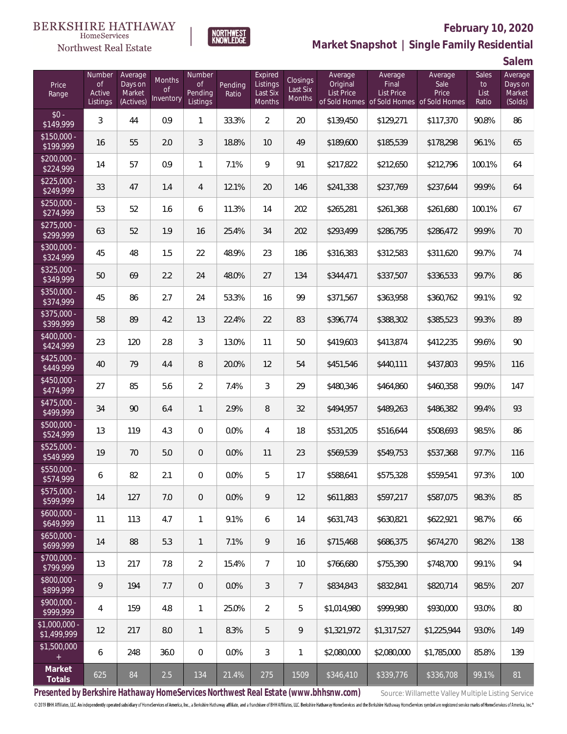

# **February 10, 2020**



**Salem**

|                              |                                           |                                           |                           |                                     |                  |                                                  |                                       |                                          |                                       |                                                                       |                              | UUIVIII                                 |
|------------------------------|-------------------------------------------|-------------------------------------------|---------------------------|-------------------------------------|------------------|--------------------------------------------------|---------------------------------------|------------------------------------------|---------------------------------------|-----------------------------------------------------------------------|------------------------------|-----------------------------------------|
| Price<br>Range               | Number<br><b>of</b><br>Active<br>Listings | Average<br>Days on<br>Market<br>(Actives) | Months<br>Οf<br>Inventory | Number<br>of<br>Pending<br>Listings | Pending<br>Ratio | Expired<br>Listings<br>Last Six<br><b>Months</b> | Closings<br>Last Six<br><b>Months</b> | Average<br>Original<br><b>List Price</b> | Average<br>Final<br><b>List Price</b> | Average<br>Sale<br>Price<br>of Sold Homes of Sold Homes of Sold Homes | Sales<br>to<br>List<br>Ratio | Average<br>Days on<br>Market<br>(Solds) |
| $$0 -$<br>\$149,999          | 3                                         | 44                                        | 0.9                       | $\mathbf{1}$                        | 33.3%            | $\overline{2}$                                   | 20                                    | \$139,450                                | \$129,271                             | \$117,370                                                             | 90.8%                        | 86                                      |
| $$150,000 -$<br>\$199,999    | 16                                        | 55                                        | 2.0                       | 3                                   | 18.8%            | 10                                               | 49                                    | \$189,600                                | \$185,539                             | \$178,298                                                             | 96.1%                        | 65                                      |
| $$200,000 -$<br>\$224,999    | 14                                        | 57                                        | 0.9                       | $\mathbf{1}$                        | 7.1%             | 9                                                | 91                                    | \$217,822                                | \$212,650                             | \$212,796                                                             | 100.1%                       | 64                                      |
| $$225,000 -$<br>\$249,999    | 33                                        | 47                                        | 1.4                       | 4                                   | 12.1%            | 20                                               | 146                                   | \$241,338                                | \$237,769                             | \$237,644                                                             | 99.9%                        | 64                                      |
| $$250,000 -$<br>\$274,999    | 53                                        | 52                                        | 1.6                       | 6                                   | 11.3%            | 14                                               | 202                                   | \$265,281                                | \$261,368                             | \$261,680                                                             | 100.1%                       | 67                                      |
| $$275,000 -$<br>\$299,999    | 63                                        | 52                                        | 1.9                       | 16                                  | 25.4%            | 34                                               | 202                                   | \$293,499                                | \$286,795                             | \$286,472                                                             | 99.9%                        | 70                                      |
| $$300,000 -$<br>\$324,999    | 45                                        | 48                                        | 1.5                       | 22                                  | 48.9%            | 23                                               | 186                                   | \$316,383                                | \$312,583                             | \$311,620                                                             | 99.7%                        | 74                                      |
| $$325,000 -$<br>\$349,999    | 50                                        | 69                                        | 2.2                       | 24                                  | 48.0%            | 27                                               | 134                                   | \$344,471                                | \$337,507                             | \$336,533                                                             | 99.7%                        | 86                                      |
| $$350,000 -$<br>\$374,999    | 45                                        | 86                                        | 2.7                       | 24                                  | 53.3%            | 16                                               | 99                                    | \$371,567                                | \$363,958                             | \$360,762                                                             | 99.1%                        | 92                                      |
| $$375,000 -$<br>\$399,999    | 58                                        | 89                                        | 4.2                       | 13                                  | 22.4%            | 22                                               | 83                                    | \$396,774                                | \$388,302                             | \$385,523                                                             | 99.3%                        | 89                                      |
| $$400,000 -$<br>\$424,999    | 23                                        | 120                                       | 2.8                       | 3                                   | 13.0%            | 11                                               | 50                                    | \$419,603                                | \$413,874                             | \$412,235                                                             | 99.6%                        | 90                                      |
| $$425,000 -$<br>\$449,999    | 40                                        | 79                                        | 4.4                       | 8                                   | 20.0%            | 12                                               | 54                                    | \$451,546                                | \$440,111                             | \$437,803                                                             | 99.5%                        | 116                                     |
| $$450,000 -$<br>\$474,999    | 27                                        | 85                                        | 5.6                       | $\overline{2}$                      | 7.4%             | $\mathfrak{Z}$                                   | 29                                    | \$480,346                                | \$464,860                             | \$460,358                                                             | 99.0%                        | 147                                     |
| $$475,000 -$<br>\$499,999    | 34                                        | 90                                        | 6.4                       | $\mathbf{1}$                        | 2.9%             | 8                                                | 32                                    | \$494,957                                | \$489,263                             | \$486,382                                                             | 99.4%                        | 93                                      |
| $$500,000 -$<br>\$524,999    | 13                                        | 119                                       | 4.3                       | 0                                   | 0.0%             | 4                                                | 18                                    | \$531,205                                | \$516,644                             | \$508,693                                                             | 98.5%                        | 86                                      |
| $$525,000 -$<br>\$549,999    | 19                                        | 70                                        | 5.0                       | 0                                   | 0.0%             | 11                                               | 23                                    | \$569,539                                | \$549,753                             | \$537,368                                                             | 97.7%                        | 116                                     |
| $$550,000 -$<br>\$574,999    | 6                                         | 82                                        | 2.1                       | 0                                   | 0.0%             | 5                                                | 17                                    | \$588,641                                | \$575,328                             | \$559,541                                                             | 97.3%                        | 100                                     |
| $$575,000 -$<br>\$599,999    | 14                                        | 127                                       | 7.0                       | $\boldsymbol{0}$                    | 0.0%             | 9                                                | 12                                    | \$611,883                                | \$597,217                             | \$587,075                                                             | 98.3%                        | 85                                      |
| $$600,000 -$<br>\$649,999    | 11                                        | 113                                       | 4.7                       | $\mathbf{1}$                        | 9.1%             | 6                                                | 14                                    | \$631,743                                | \$630,821                             | \$622,921                                                             | 98.7%                        | 66                                      |
| $$650,000 -$<br>\$699,999    | 14                                        | 88                                        | 5.3                       | $\mathbf{1}$                        | 7.1%             | 9                                                | 16                                    | \$715,468                                | \$686,375                             | \$674,270                                                             | 98.2%                        | 138                                     |
| $$700,000 -$<br>\$799,999    | 13                                        | 217                                       | 7.8                       | $\overline{2}$                      | 15.4%            | $\overline{7}$                                   | 10                                    | \$766,680                                | \$755,390                             | \$748,700                                                             | 99.1%                        | 94                                      |
| \$800,000 -<br>\$899,999     | 9                                         | 194                                       | 7.7                       | $\overline{0}$                      | 0.0%             | 3                                                | $7\overline{ }$                       | \$834,843                                | \$832,841                             | \$820,714                                                             | 98.5%                        | 207                                     |
| \$900,000 -<br>\$999,999     | 4                                         | 159                                       | 4.8                       | $\mathbf{1}$                        | 25.0%            | $\overline{2}$                                   | 5                                     | \$1,014,980                              | \$999,980                             | \$930,000                                                             | 93.0%                        | 80                                      |
| \$1,000,000 -<br>\$1,499,999 | 12                                        | 217                                       | 8.0                       | $\mathbf{1}$                        | 8.3%             | 5                                                | $\overline{9}$                        | \$1,321,972                              | \$1,317,527                           | \$1,225,944                                                           | 93.0%                        | 149                                     |
| \$1,500,000<br>$+$           | 6                                         | 248                                       | 36.0                      | $\mathbf{0}$                        | 0.0%             | 3                                                | $\mathbf{1}$                          | \$2,080,000                              | \$2,080,000                           | \$1,785,000                                                           | 85.8%                        | 139                                     |
| Market<br>Totals             | 625                                       | 84                                        | 2.5                       | 134                                 | 21.4%            | 275                                              | 1509                                  | \$346,410                                | \$339,776                             | \$336,708                                                             | 99.1%                        | 81                                      |

**NORTHWEST**<br>KNOWLEDGE

Presented by Berkshire Hathaway HomeServices Northwest Real Estate (www.bhhsnw.com) source: Willamette Valley Multiple Listing Service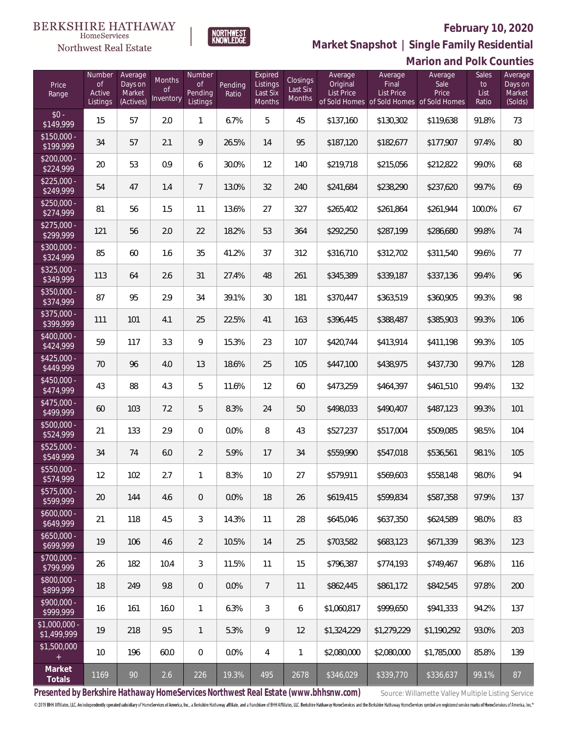

NORTHWEST<br>KNOWLEDGE

**Market Snapshot | Single Family Residential**

#### $\label{lem:sevices} \textsc{Home} \textsc{Service} \textsc{s}$ Northwest Real Estate

|                               |                                           |                                           |                           |                                     |                  |                                           |                                |                                          |                                                                                    | <b>Marion and Polk Counties</b> |                              |                                         |
|-------------------------------|-------------------------------------------|-------------------------------------------|---------------------------|-------------------------------------|------------------|-------------------------------------------|--------------------------------|------------------------------------------|------------------------------------------------------------------------------------|---------------------------------|------------------------------|-----------------------------------------|
| Price<br>Range                | Number<br><b>of</b><br>Active<br>Listings | Average<br>Days on<br>Market<br>(Actives) | Months<br>0f<br>Inventory | Number<br>0f<br>Pending<br>Listings | Pending<br>Ratio | Expired<br>Listings<br>Last Six<br>Months | Closings<br>Last Six<br>Months | Average<br>Original<br><b>List Price</b> | Average<br>Final<br><b>List Price</b><br>of Sold Homes of Sold Homes of Sold Homes | Average<br>Sale<br>Price        | Sales<br>to<br>List<br>Ratio | Average<br>Days on<br>Market<br>(Solds) |
| $$0 -$<br>\$149,999           | 15                                        | 57                                        | 2.0                       | $\mathbf{1}$                        | 6.7%             | 5                                         | 45                             | \$137,160                                | \$130,302                                                                          | \$119,638                       | 91.8%                        | 73                                      |
| $$150,000 -$<br>\$199,999     | 34                                        | 57                                        | 2.1                       | 9                                   | 26.5%            | 14                                        | 95                             | \$187,120                                | \$182,677                                                                          | \$177,907                       | 97.4%                        | 80                                      |
| $$200,000 -$<br>\$224,999     | 20                                        | 53                                        | 0.9                       | 6                                   | 30.0%            | 12                                        | 140                            | \$219,718                                | \$215,056                                                                          | \$212,822                       | 99.0%                        | 68                                      |
| $$225,000 -$<br>\$249,999     | 54                                        | 47                                        | 1.4                       | $\overline{7}$                      | 13.0%            | 32                                        | 240                            | \$241,684                                | \$238,290                                                                          | \$237,620                       | 99.7%                        | 69                                      |
| $$250,000 -$<br>\$274,999     | 81                                        | 56                                        | 1.5                       | 11                                  | 13.6%            | 27                                        | 327                            | \$265,402                                | \$261,864                                                                          | \$261,944                       | 100.0%                       | 67                                      |
| $$275,000 -$<br>\$299,999     | 121                                       | 56                                        | 2.0                       | 22                                  | 18.2%            | 53                                        | 364                            | \$292,250                                | \$287,199                                                                          | \$286,680                       | 99.8%                        | 74                                      |
| $$300,000 -$<br>\$324,999     | 85                                        | 60                                        | 1.6                       | 35                                  | 41.2%            | 37                                        | 312                            | \$316,710                                | \$312,702                                                                          | \$311,540                       | 99.6%                        | 77                                      |
| $$325,000 -$<br>\$349,999     | 113                                       | 64                                        | 2.6                       | 31                                  | 27.4%            | 48                                        | 261                            | \$345,389                                | \$339,187                                                                          | \$337,136                       | 99.4%                        | 96                                      |
| $$350,000 -$<br>\$374,999     | 87                                        | 95                                        | 2.9                       | 34                                  | 39.1%            | 30                                        | 181                            | \$370,447                                | \$363,519                                                                          | \$360,905                       | 99.3%                        | 98                                      |
| $$375,000 -$<br>\$399,999     | 111                                       | 101                                       | 4.1                       | 25                                  | 22.5%            | 41                                        | 163                            | \$396,445                                | \$388,487                                                                          | \$385,903                       | 99.3%                        | 106                                     |
| $$400,000 -$<br>\$424,999     | 59                                        | 117                                       | 3.3                       | 9                                   | 15.3%            | 23                                        | 107                            | \$420,744                                | \$413,914                                                                          | \$411,198                       | 99.3%                        | 105                                     |
| $$425,000 -$<br>\$449,999     | 70                                        | 96                                        | 4.0                       | 13                                  | 18.6%            | 25                                        | 105                            | \$447,100                                | \$438,975                                                                          | \$437,730                       | 99.7%                        | 128                                     |
| $$450,000 -$<br>\$474,999     | 43                                        | 88                                        | 4.3                       | 5                                   | 11.6%            | 12                                        | 60                             | \$473,259                                | \$464,397                                                                          | \$461,510                       | 99.4%                        | 132                                     |
| $$475,000 -$<br>\$499,999     | 60                                        | 103                                       | 7.2                       | $\mathbf 5$                         | 8.3%             | 24                                        | 50                             | \$498,033                                | \$490,407                                                                          | \$487,123                       | 99.3%                        | 101                                     |
| $$500,000 -$<br>\$524,999     | 21                                        | 133                                       | 2.9                       | 0                                   | 0.0%             | 8                                         | 43                             | \$527,237                                | \$517,004                                                                          | \$509,085                       | 98.5%                        | 104                                     |
| $$525,000 -$<br>\$549,999     | 34                                        | 74                                        | 6.0                       | $\overline{2}$                      | 5.9%             | 17                                        | 34                             | \$559,990                                | \$547,018                                                                          | \$536,561                       | 98.1%                        | 105                                     |
| \$550,000<br>\$574,999        | 12                                        | 102                                       | 2.7                       | $\mathbf{1}$                        | 8.3%             | 10                                        | 27                             | \$579,911                                | \$569,603                                                                          | \$558,148                       | 98.0%                        | 94                                      |
| $$575,000 -$<br>\$599,999     | 20                                        | 144                                       | 4.6                       | $\overline{0}$                      | 0.0%             | 18                                        | 26                             | \$619,415                                | \$599,834                                                                          | \$587,358                       | 97.9%                        | 137                                     |
| $$600.000 -$<br>\$649,999     | 21                                        | 118                                       | 4.5                       | 3                                   | 14.3%            | 11                                        | 28                             | \$645,046                                | \$637,350                                                                          | \$624,589                       | 98.0%                        | 83                                      |
| $$650,000 -$<br>\$699,999     | 19                                        | 106                                       | 4.6                       | $\overline{2}$                      | 10.5%            | 14                                        | 25                             | \$703,582                                | \$683,123                                                                          | \$671,339                       | 98.3%                        | 123                                     |
| $$700.000 -$<br>\$799,999     | 26                                        | 182                                       | 10.4                      | 3                                   | 11.5%            | 11                                        | 15                             | \$796,387                                | \$774,193                                                                          | \$749,467                       | 96.8%                        | 116                                     |
| $$800.000 -$<br>\$899,999     | 18                                        | 249                                       | 9.8                       | $\overline{0}$                      | 0.0%             | $\overline{7}$                            | 11                             | \$862,445                                | \$861,172                                                                          | \$842,545                       | 97.8%                        | 200                                     |
| $$900.000 -$<br>\$999,999     | 16                                        | 161                                       | 16.0                      | $\mathbf{1}$                        | 6.3%             | 3                                         | 6                              | \$1,060,817                              | \$999,650                                                                          | \$941,333                       | 94.2%                        | 137                                     |
| $$1,000,000 -$<br>\$1,499,999 | 19                                        | 218                                       | 9.5                       | $\mathbf{1}$                        | 5.3%             | 9                                         | 12                             | \$1,324,229                              | \$1,279,229                                                                        | \$1,190,292                     | 93.0%                        | 203                                     |
| \$1,500,000<br>$+$            | 10                                        | 196                                       | 60.0                      | 0                                   | $0.0\%$          | 4                                         | 1                              | \$2,080,000                              | \$2,080,000                                                                        | \$1,785,000                     | 85.8%                        | 139                                     |
| Market<br>Totals              | 1169                                      | 90                                        | 2.6                       | 226                                 | 19.3%            | 495                                       | 2678                           | \$346,029                                | \$339,770                                                                          | \$336,637                       | 99.1%                        | 87                                      |

Presented by Berkshire Hathaway HomeServices Northwest Real Estate (www.bhhsnw.com) source: Willamette Valley Multiple Listing Service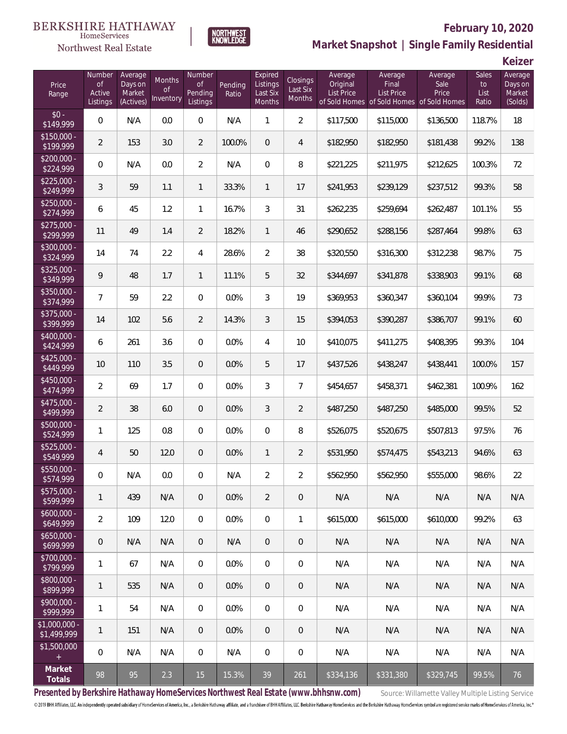



# **February 10, 2020**

**Market Snapshot | Single Family Residential**

**Keizer**

| Price<br>Range                | Number<br><b>of</b><br>Active<br>Listings | Average<br>Days on<br>Market<br>(Actives) | Months<br><b>of</b><br>Inventory | Number<br><b>of</b><br>Pending<br>Listings | Pending<br>Ratio | Expired<br>Listings<br>Last Six<br>Months | <b>Closings</b><br>Last Six<br><b>Months</b> | Average<br>Original<br><b>List Price</b> | Average<br>Final<br>List Price<br>of Sold Homes of Sold Homes | Average<br>Sale<br>Price<br>of Sold Homes | Sales<br>to<br>List<br>Ratio | Average<br>Days on<br>Market<br>(Solds) |
|-------------------------------|-------------------------------------------|-------------------------------------------|----------------------------------|--------------------------------------------|------------------|-------------------------------------------|----------------------------------------------|------------------------------------------|---------------------------------------------------------------|-------------------------------------------|------------------------------|-----------------------------------------|
| $$0 -$<br>\$149,999           | $\boldsymbol{0}$                          | N/A                                       | 0.0                              | $\mathbf 0$                                | N/A              | $\mathbf{1}$                              | $\overline{2}$                               | \$117,500                                | \$115,000                                                     | \$136,500                                 | 118.7%                       | 18                                      |
| $$150,000 -$<br>3199,999      | $\overline{2}$                            | 153                                       | 3.0                              | $\overline{2}$                             | 100.0%           | 0                                         | 4                                            | \$182,950                                | \$182,950                                                     | \$181,438                                 | 99.2%                        | 138                                     |
| $$200,000 -$<br>\$224,999     | $\boldsymbol{0}$                          | N/A                                       | 0.0                              | $\overline{2}$                             | N/A              | 0                                         | 8                                            | \$221,225                                | \$211,975                                                     | \$212,625                                 | 100.3%                       | 72                                      |
| $$225,000 -$<br>\$249,999     | $\sqrt{3}$                                | 59                                        | 1.1                              | $\mathbf{1}$                               | 33.3%            | $\mathbf{1}$                              | 17                                           | \$241,953                                | \$239,129                                                     | \$237,512                                 | 99.3%                        | 58                                      |
| $$250,000 -$<br>\$274,999     | 6                                         | 45                                        | 1.2                              | $\mathbf{1}$                               | 16.7%            | 3                                         | 31                                           | \$262,235                                | \$259,694                                                     | \$262,487                                 | 101.1%                       | 55                                      |
| $$275,000 -$<br>\$299,999     | 11                                        | 49                                        | 1.4                              | $\overline{2}$                             | 18.2%            | $\mathbf{1}$                              | 46                                           | \$290,652                                | \$288,156                                                     | \$287,464                                 | 99.8%                        | 63                                      |
| $$300,000 -$<br>\$324,999     | 14                                        | 74                                        | 2.2                              | 4                                          | 28.6%            | $\overline{2}$                            | 38                                           | \$320,550                                | \$316,300                                                     | \$312,238                                 | 98.7%                        | 75                                      |
| $$325,000 -$<br>\$349,999     | $\mathsf q$                               | 48                                        | 1.7                              | $\mathbf{1}$                               | 11.1%            | 5                                         | 32                                           | \$344,697                                | \$341,878                                                     | \$338,903                                 | 99.1%                        | 68                                      |
| $$350,000 -$<br>\$374,999     | $\overline{7}$                            | 59                                        | 2.2                              | $\boldsymbol{0}$                           | 0.0%             | 3                                         | 19                                           | \$369,953                                | \$360,347                                                     | \$360,104                                 | 99.9%                        | 73                                      |
| $$375,000 -$<br>\$399,999     | 14                                        | 102                                       | 5.6                              | $\overline{2}$                             | 14.3%            | $\mathfrak{Z}$                            | 15                                           | \$394,053                                | \$390,287                                                     | \$386,707                                 | 99.1%                        | 60                                      |
| $$400.000 -$<br>\$424,999     | 6                                         | 261                                       | 3.6                              | $\overline{0}$                             | 0.0%             | $\overline{4}$                            | 10                                           | \$410,075                                | \$411,275                                                     | \$408,395                                 | 99.3%                        | 104                                     |
| $$425,000 -$<br>\$449,999     | 10                                        | 110                                       | 3.5                              | $\overline{0}$                             | 0.0%             | 5                                         | 17                                           | \$437,526                                | \$438,247                                                     | \$438,441                                 | 100.0%                       | 157                                     |
| $$450,000 -$<br>\$474,999     | $\overline{2}$                            | 69                                        | 1.7                              | $\overline{0}$                             | 0.0%             | 3                                         | $\overline{7}$                               | \$454,657                                | \$458,371                                                     | \$462,381                                 | 100.9%                       | 162                                     |
| $$475,000 -$<br>\$499,999     | $\overline{2}$                            | 38                                        | 6.0                              | $\mathbf 0$                                | 0.0%             | 3                                         | $\overline{2}$                               | \$487,250                                | \$487,250                                                     | \$485,000                                 | 99.5%                        | 52                                      |
| $$500,000 -$<br>\$524,999     | 1                                         | 125                                       | 0.8                              | $\overline{0}$                             | 0.0%             | $\overline{0}$                            | 8                                            | \$526,075                                | \$520,675                                                     | \$507,813                                 | 97.5%                        | 76                                      |
| $$525,000 -$<br>\$549,999     | $\overline{4}$                            | 50                                        | 12.0                             | $\mathbf 0$                                | 0.0%             | $\mathbf{1}$                              | $\overline{2}$                               | \$531,950                                | \$574,475                                                     | \$543,213                                 | 94.6%                        | 63                                      |
| \$550,000 -<br>\$574,999      | 0                                         | N/A                                       | 0.0                              | 0                                          | N/A              | $\overline{2}$                            | $\overline{2}$                               | \$562,950                                | \$562,950                                                     | \$555,000                                 | 98.6%                        | 22                                      |
| $$575,000 -$<br>\$599,999     | 1                                         | 439                                       | N/A                              | $\mathbf 0$                                | 0.0%             | $\overline{2}$                            | $\mathbf 0$                                  | N/A                                      | N/A                                                           | N/A                                       | N/A                          | N/A                                     |
| $$600,000 -$<br>\$649,999     | $\overline{2}$                            | 109                                       | 12.0                             | $\overline{0}$                             | 0.0%             | $\overline{0}$                            | $\mathbf{1}$                                 | \$615,000                                | \$615,000                                                     | \$610,000                                 | 99.2%                        | 63                                      |
| $$650,000 -$<br>\$699,999     | 0                                         | N/A                                       | N/A                              | $\overline{0}$                             | N/A              | $\overline{0}$                            | $\overline{0}$                               | N/A                                      | N/A                                                           | N/A                                       | N/A                          | N/A                                     |
| $$700,000 -$<br>\$799,999     | 1                                         | 67                                        | N/A                              | $\mathbf 0$                                | 0.0%             | $\overline{0}$                            | $\mathbf 0$                                  | N/A                                      | N/A                                                           | N/A                                       | N/A                          | N/A                                     |
| \$800,000 -<br>\$899,999      | 1                                         | 535                                       | N/A                              | $\overline{0}$                             | 0.0%             | $\overline{0}$                            | $\overline{0}$                               | N/A                                      | N/A                                                           | N/A                                       | N/A                          | N/A                                     |
| $$900,000 -$<br>\$999,999     | 1                                         | 54                                        | N/A                              | $\mathbf 0$                                | 0.0%             | $\mathbf{0}$                              | $\mathbf 0$                                  | N/A                                      | N/A                                                           | N/A                                       | N/A                          | N/A                                     |
| $$1,000,000 -$<br>\$1,499,999 | 1                                         | 151                                       | N/A                              | $\overline{0}$                             | 0.0%             | $\overline{0}$                            | $\theta$                                     | N/A                                      | N/A                                                           | N/A                                       | N/A                          | N/A                                     |
| \$1,500,000<br>$\pm$          | 0                                         | N/A                                       | N/A                              | $\mathbf 0$                                | N/A              | $\mathbf{0}$                              | $\mathbf 0$                                  | N/A                                      | N/A                                                           | N/A                                       | N/A                          | N/A                                     |
| Market<br>Totals              | 98                                        | 95                                        | 2.3                              | 15                                         | 15.3%            | 39                                        | 261                                          | \$334,136                                | \$331,380                                                     | \$329,745                                 | 99.5%                        | 76                                      |

Presented by Berkshire Hathaway HomeServices Northwest Real Estate (www.bhhsnw.com) source: Willamette Valley Multiple Listing Service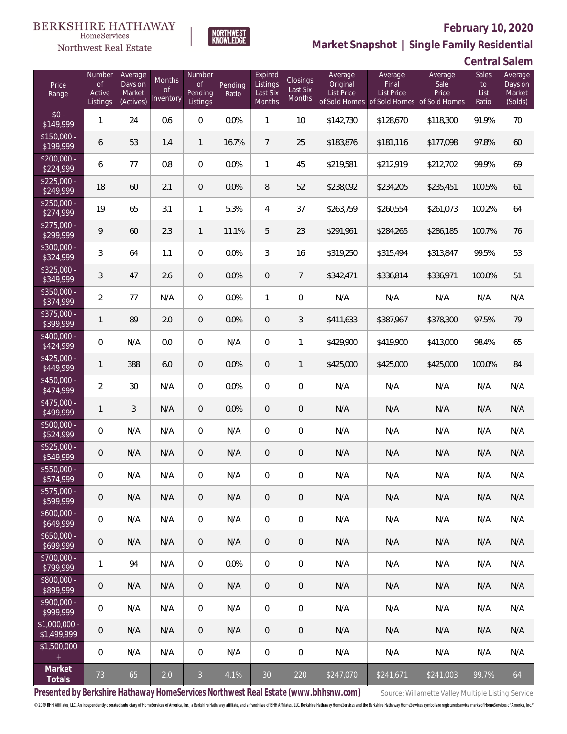

### **February 10, 2020**

**Market Snapshot | Single Family Residential**

| <b>Central Salem</b> |  |
|----------------------|--|
|----------------------|--|

| Price<br>Range               | Number<br>of<br>Active<br>Listings | Average<br>Days on<br>Market<br>(Actives) | Months<br>Οf<br>Inventory | Number<br>0f<br>Pending<br>Listings | Pending<br>Ratio | Expired<br>Listings<br>Last Six<br>Months | Closings<br>Last Six<br>Months | Average<br>Original<br><b>List Price</b> | Average<br>Final<br><b>List Price</b><br>of Sold Homes of Sold Homes of Sold Homes | Average<br>Sale<br>Price | Sales<br>to<br>List<br>Ratio | Average<br>Days on<br>Market<br>(Solds) |
|------------------------------|------------------------------------|-------------------------------------------|---------------------------|-------------------------------------|------------------|-------------------------------------------|--------------------------------|------------------------------------------|------------------------------------------------------------------------------------|--------------------------|------------------------------|-----------------------------------------|
| $$0 -$<br>\$149,999          | $\mathbf{1}$                       | 24                                        | 0.6                       | $\overline{0}$                      | 0.0%             | $\overline{1}$                            | 10 <sup>°</sup>                | \$142,730                                | \$128,670                                                                          | \$118,300                | 91.9%                        | 70                                      |
| $$150,000 -$<br>\$199,999    | 6                                  | 53                                        | 1.4                       | $\mathbf{1}$                        | 16.7%            | $\overline{7}$                            | 25                             | \$183,876                                | \$181,116                                                                          | \$177,098                | 97.8%                        | 60                                      |
| $$200,000 -$<br>\$224,999    | 6                                  | 77                                        | 0.8                       | $\overline{0}$                      | 0.0%             | $\mathbf{1}$                              | 45                             | \$219,581                                | \$212,919                                                                          | \$212,702                | 99.9%                        | 69                                      |
| $$225,000 -$<br>\$249,999    | 18                                 | 60                                        | 2.1                       | $\overline{0}$                      | 0.0%             | 8                                         | 52                             | \$238,092                                | \$234,205                                                                          | \$235,451                | 100.5%                       | 61                                      |
| $$250,000 -$<br>\$274,999    | 19                                 | 65                                        | 3.1                       | $\mathbf{1}$                        | 5.3%             | $\overline{4}$                            | 37                             | \$263,759                                | \$260,554                                                                          | \$261,073                | 100.2%                       | 64                                      |
| $$275,000 -$<br>\$299,999    | 9                                  | 60                                        | 2.3                       | $\mathbf{1}$                        | 11.1%            | 5                                         | 23                             | \$291,961                                | \$284,265                                                                          | \$286,185                | 100.7%                       | 76                                      |
| $$300,000 -$<br>\$324,999    | 3                                  | 64                                        | 1.1                       | $\overline{0}$                      | 0.0%             | 3                                         | 16                             | \$319,250                                | \$315,494                                                                          | \$313,847                | 99.5%                        | 53                                      |
| $$325,000 -$<br>\$349,999    | 3                                  | 47                                        | 2.6                       | $\overline{0}$                      | 0.0%             | $\overline{0}$                            | $\overline{7}$                 | \$342,471                                | \$336,814                                                                          | \$336,971                | 100.0%                       | 51                                      |
| $$350,000 -$<br>\$374,999    | $\overline{2}$                     | 77                                        | N/A                       | $\overline{0}$                      | 0.0%             | $\mathbf{1}$                              | $\overline{0}$                 | N/A                                      | N/A                                                                                | N/A                      | N/A                          | N/A                                     |
| \$375,000 -<br>\$399,999     | $\mathbf{1}$                       | 89                                        | 2.0                       | $\overline{0}$                      | 0.0%             | $\overline{0}$                            | 3                              | \$411,633                                | \$387,967                                                                          | \$378,300                | 97.5%                        | 79                                      |
| $$400,000 -$<br>\$424,999    | $\mathbf 0$                        | N/A                                       | 0.0                       | $\overline{0}$                      | N/A              | $\mathbf 0$                               | $\mathbf{1}$                   | \$429,900                                | \$419,900                                                                          | \$413,000                | 98.4%                        | 65                                      |
| $$425,000 -$<br>\$449,999    | $\mathbf{1}$                       | 388                                       | 6.0                       | $\overline{0}$                      | 0.0%             | $\overline{0}$                            | $\mathbf{1}$                   | \$425,000                                | \$425,000                                                                          | \$425,000                | 100.0%                       | 84                                      |
| $$450,000 -$<br>\$474,999    | $\overline{2}$                     | 30                                        | N/A                       | $\Omega$                            | 0.0%             | $\overline{0}$                            | $\overline{0}$                 | N/A                                      | N/A                                                                                | N/A                      | N/A                          | N/A                                     |
| $$475,000 -$<br>\$499,999    | $\mathbf{1}$                       | $\overline{3}$                            | N/A                       | $\overline{0}$                      | 0.0%             | $\overline{0}$                            | 0                              | N/A                                      | N/A                                                                                | N/A                      | N/A                          | N/A                                     |
| $$500,000 -$<br>\$524,999    | $\mathbf 0$                        | N/A                                       | N/A                       | $\Omega$                            | N/A              | $\overline{0}$                            | $\overline{0}$                 | N/A                                      | N/A                                                                                | N/A                      | N/A                          | N/A                                     |
| $$525,000 -$<br>\$549,999    | 0                                  | N/A                                       | N/A                       | $\overline{0}$                      | N/A              | $\overline{0}$                            | 0                              | N/A                                      | N/A                                                                                | N/A                      | N/A                          | N/A                                     |
| $$550,000 -$<br>\$574,999    | 0                                  | N/A                                       | N/A                       | $\overline{0}$                      | N/A              | $\overline{0}$                            | 0                              | N/A                                      | N/A                                                                                | N/A                      | N/A                          | N/A                                     |
| $$575,000 -$<br>\$599,999    | $\mathbf 0$                        | N/A                                       | N/A                       | $\,0\,$                             | N/A              | $\mathbf 0$                               | $\mathbf 0$                    | N/A                                      | N/A                                                                                | N/A                      | N/A                          | N/A                                     |
| $$600,000 -$<br>\$649,999    | $\mathbf 0$                        | N/A                                       | N/A                       | $\mathbf 0$                         | N/A              | $\mathbf 0$                               | 0                              | N/A                                      | N/A                                                                                | N/A                      | N/A                          | N/A                                     |
| $$650,000 -$<br>\$699,999    | $\mathbf 0$                        | N/A                                       | N/A                       | $\overline{0}$                      | N/A              | $\mathbf 0$                               | 0                              | N/A                                      | N/A                                                                                | N/A                      | N/A                          | N/A                                     |
| $$700,000 -$<br>\$799,999    | 1                                  | 94                                        | N/A                       | $\overline{0}$                      | 0.0%             | $\mathbf 0$                               | 0                              | N/A                                      | N/A                                                                                | N/A                      | N/A                          | N/A                                     |
| $$800,000 -$<br>\$899,999    | $\theta$                           | N/A                                       | N/A                       | $\overline{0}$                      | N/A              | $\mathbf 0$                               | 0                              | N/A                                      | N/A                                                                                | N/A                      | N/A                          | N/A                                     |
| $$900,000 -$<br>\$999,999    | 0                                  | N/A                                       | N/A                       | $\overline{0}$                      | N/A              | $\mathbf 0$                               | 0                              | N/A                                      | N/A                                                                                | N/A                      | N/A                          | N/A                                     |
| \$1,000,000 -<br>\$1,499,999 | $\theta$                           | N/A                                       | N/A                       | $\overline{0}$                      | N/A              | $\overline{0}$                            | 0                              | N/A                                      | N/A                                                                                | N/A                      | N/A                          | N/A                                     |
| \$1,500,000<br>$\pm$         | $\mathbb O$                        | N/A                                       | N/A                       | $\mathbf 0$                         | N/A              | $\mathbf 0$                               | 0                              | N/A                                      | N/A                                                                                | N/A                      | N/A                          | N/A                                     |
| Market<br>Totals             | 73                                 | 65                                        | 2.0                       | $\overline{3}$                      | 4.1%             | $30\,$                                    | 220                            | \$247,070                                | \$241,671                                                                          | \$241,003                | 99.7%                        | 64                                      |

**NORTHWEST**<br>KNOWLEDGE

Presented by Berkshire Hathaway HomeServices Northwest Real Estate (www.bhhsnw.com) source: Willamette Valley Multiple Listing Service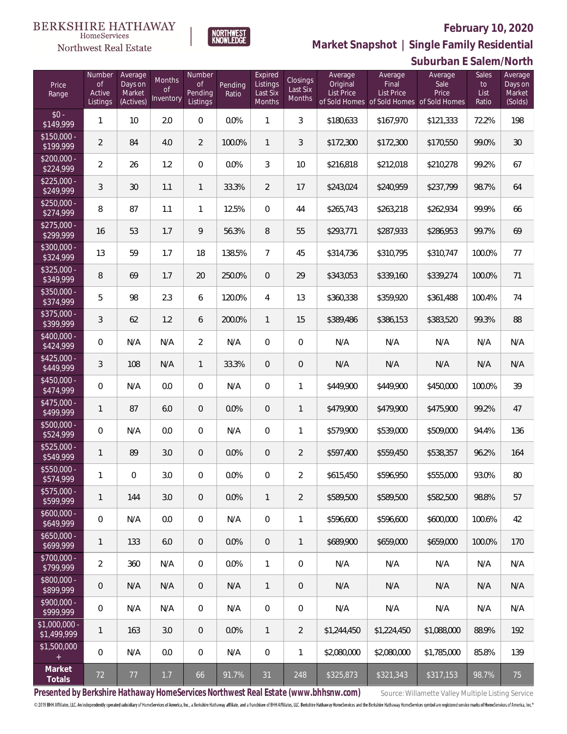Sales

**Average** 

**Suburban E Salem/North**



Average

 $M$ ont

Number

**NORTHWEST**<br>KNOWLEDGE

Expired

Average

Northwest Real Estate

Number

 $\frac{$15}{15}$ 

 $\frac{$20}{$22}$ 

 $\frac{1}{22}$ <br> $\frac{1}{24}$ 

 $\frac{1}{25}$ 

 $\frac{$27}{20}$ 

 $$30$ <br> $$32$ 

 $\frac{$32}{\$3}$ 

 $\frac{$35}{\$3}$ 

 $\frac{$37}{339}$ 

 $$40$ <br> $$42$ 

 $\frac{$42}{$44}$ 

 $$45$ <br> $$47$ 

 $$47$ <br> $$49$ 

 $$50$ <br> $$52$ 

 $$52$ <br> $$54$ 

 $355$ 

 $$57$ <br>\$50

 $$60$ <br>\$64

 $$65$ <br>\$60

 $$70$ <br> $$7^0$ 

\$80<br>\$80

 $$90$ 

 $$1,00$ 

 $$1,5$ 

**Market Snapshot | Single Family Residential**

Average

Average

| Price<br>Range                       | $\circ f$<br>Active<br>Listings | Days on<br>Market<br>(Actives) | <b>Months</b><br><b>of</b><br>Inventory | <b>of</b><br>Pending<br>Listings | Pending<br>Ratio | Listings<br>Last Six<br>Months | Closings<br>Last Six<br>Months | Original<br><b>List Price</b><br>of Sold Homes | Final<br>List Price | Sale<br>Price<br>of Sold Homes of Sold Homes | to<br>List<br>Ratio | Days or<br>Market<br>(Solds) |
|--------------------------------------|---------------------------------|--------------------------------|-----------------------------------------|----------------------------------|------------------|--------------------------------|--------------------------------|------------------------------------------------|---------------------|----------------------------------------------|---------------------|------------------------------|
| $$0 -$<br>\$149,999                  | 1                               | 10                             | 2.0                                     | 0                                | 0.0%             | 1                              | 3                              | \$180,633                                      | \$167,970           | \$121,333                                    | 72.2%               | 198                          |
| $$150,000 -$<br>\$199,999            | $\overline{2}$                  | 84                             | 4.0                                     | $\overline{2}$                   | 100.0%           | $\mathbf{1}$                   | 3                              | \$172,300                                      | \$172,300           | \$170,550                                    | 99.0%               | 30                           |
| $\sqrt{$200,000}$ -<br>\$224,999     | $\overline{2}$                  | 26                             | 1.2                                     | 0                                | 0.0%             | 3                              | 10                             | \$216,818                                      | \$212,018           | \$210,278                                    | 99.2%               | 67                           |
| $$225,000 -$<br>\$249,999            | 3                               | 30                             | 1.1                                     | 1                                | 33.3%            | $\overline{2}$                 | 17                             | \$243,024                                      | \$240,959           | \$237,799                                    | 98.7%               | 64                           |
| $$250,000 -$<br>\$274,999            | 8                               | 87                             | 1.1                                     | $\mathbf{1}$                     | 12.5%            | 0                              | 44                             | \$265,743                                      | \$263,218           | \$262,934                                    | 99.9%               | 66                           |
| $$275,000 -$<br>\$299,999            | 16                              | 53                             | 1.7                                     | 9                                | 56.3%            | 8                              | 55                             | \$293,771                                      | \$287,933           | \$286,953                                    | 99.7%               | 69                           |
| \$300,000 -<br>\$324,999             | 13                              | 59                             | 1.7                                     | 18                               | 138.5%           | 7                              | 45                             | \$314,736                                      | \$310,795           | \$310,747                                    | 100.0%              | 77                           |
| $$325,000 -$<br>\$349,999            | 8                               | 69                             | 1.7                                     | 20                               | 250.0%           | 0                              | 29                             | \$343,053                                      | \$339,160           | \$339,274                                    | 100.0%              | 71                           |
| $\overline{$350,000}$ -<br>\$374,999 | 5                               | 98                             | 2.3                                     | 6                                | 120.0%           | 4                              | 13                             | \$360,338                                      | \$359,920           | \$361,488                                    | 100.4%              | 74                           |
| \$375,000 -<br>\$399,999             | $\mathfrak{Z}$                  | 62                             | 1.2                                     | 6                                | 200.0%           | $\mathbf{1}$                   | 15                             | \$389,486                                      | \$386,153           | \$383,520                                    | 99.3%               | 88                           |
| \$400,000 -<br>\$424,999             | $\mathbf{0}$                    | N/A                            | N/A                                     | 2                                | N/A              | 0                              | 0                              | N/A                                            | N/A                 | N/A                                          | N/A                 | N/A                          |
| \$425,000 -<br>\$449,999             | 3                               | 108                            | N/A                                     | $\mathbf{1}$                     | 33.3%            | $\mathbf 0$                    | $\overline{0}$                 | N/A                                            | N/A                 | N/A                                          | N/A                 | N/A                          |
| \$450,000 -<br>\$474,999             | $\overline{0}$                  | N/A                            | 0.0                                     | 0                                | N/A              | 0                              | 1                              | \$449,900                                      | \$449,900           | \$450,000                                    | 100.0%              | 39                           |
| \$475,000 -<br>\$499,999             | 1                               | 87                             | 6.0                                     | $\theta$                         | 0.0%             | $\mathbf 0$                    | $\mathbf{1}$                   | \$479,900                                      | \$479,900           | \$475,900                                    | 99.2%               | 47                           |
| \$500,000 -<br>\$524,999             | $\mathbf{0}$                    | N/A                            | 0.0                                     | 0                                | N/A              | 0                              | $\mathbf{1}$                   | \$579,900                                      | \$539,000           | \$509,000                                    | 94.4%               | 136                          |
| \$525,000 -<br>\$549,999             | 1                               | 89                             | 3.0                                     | $\theta$                         | 0.0%             | $\overline{0}$                 | $\overline{2}$                 | \$597,400                                      | \$559,450           | \$538,357                                    | 96.2%               | 164                          |
| \$550,000 -<br>\$574,999             | 1                               | $\mathbf 0$                    | 3.0                                     | 0                                | 0.0%             | $\mathbf 0$                    | $\overline{2}$                 | \$615,450                                      | \$596,950           | \$555,000                                    | 93.0%               | 80                           |
| $$575,000 -$<br>\$599,999            | 1                               | 144                            | 3.0                                     | $\overline{0}$                   | 0.0%             | 1                              | 2                              | \$589,500                                      | \$589,500           | \$582,500                                    | 98.8%               | 57                           |
| $$600,000 -$<br>\$649,999            | 0                               | N/A                            | 0.0                                     | 0                                | N/A              | 0                              | $\mathbf{1}$                   | \$596.600                                      | \$596,600           | \$600,000                                    | 100.6%              | 42                           |
| $$650,000 -$<br>\$699,999            | 1                               | 133                            | 6.0                                     | 0                                | 0.0%             | 0                              | $\mathbf{1}$                   | \$689,900                                      | \$659,000           | \$659,000                                    | 100.0%              | 170                          |
| $$700,000 -$<br>\$799,999            | $\overline{2}$                  | 360                            | N/A                                     | 0                                | 0.0%             | $\mathbf{1}$                   | $\mathbf 0$                    | N/A                                            | N/A                 | N/A                                          | N/A                 | N/A                          |
| \$800,000 -<br>\$899,999             | $\mathbf 0$                     | N/A                            | N/A                                     | 0                                | N/A              | $\mathbf{1}$                   | $\overline{0}$                 | N/A                                            | N/A                 | N/A                                          | N/A                 | N/A                          |
| \$900,000 -<br>\$999,999             | $\overline{0}$                  | N/A                            | N/A                                     | 0                                | N/A              | $\mathbf 0$                    | $\boldsymbol{0}$               | N/A                                            | N/A                 | N/A                                          | N/A                 | N/A                          |
| \$1,000,000 -<br>\$1,499,999         | 1                               | 163                            | 3.0                                     | $\mathbf 0$                      | 0.0%             | $\mathbf{1}$                   | $\overline{2}$                 | \$1,244,450                                    | \$1,224,450         | \$1,088,000                                  | 88.9%               | 192                          |
| \$1,500,000<br>$+$                   | $\overline{0}$                  | N/A                            | 0.0                                     | 0                                | N/A              | 0                              | $\mathbf{1}$                   | \$2,080,000                                    | \$2,080,000         | \$1,785,000                                  | 85.8%               | 139                          |
| Market<br>Totals                     | 72                              | 77                             | 1.7                                     | 66                               | 91.7%            | 31                             | 248                            | \$325,873                                      | \$321,343           | \$317,153                                    | 98.7%               | 75                           |

Presented by Berkshire Hathaway HomeServices Northwest Real Estate (www.bhhsnw.com) source: Willamette Valley Multiple Listing Service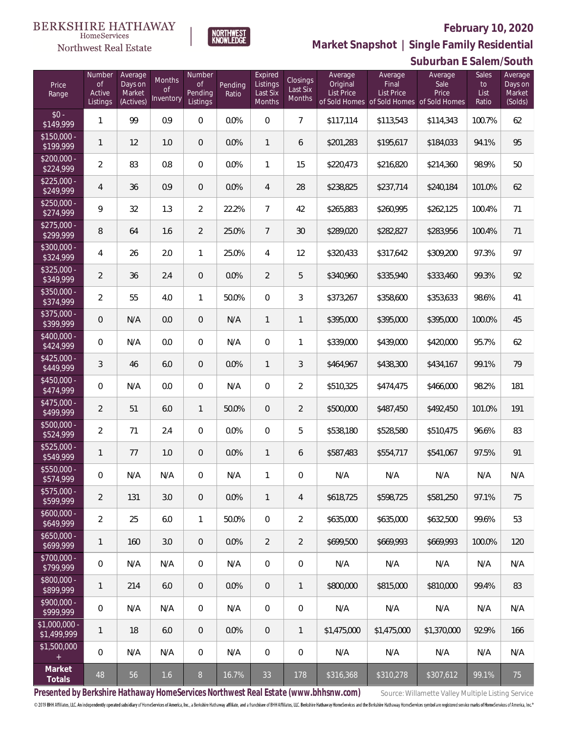

HomeServices

**Market Snapshot | Single Family Residential**

|                           |                                               |                                           |                                  |                                            |                  |                                                  |                                       |                                          |                                       | Suburban E Salem/South                                                |                              |                                         |
|---------------------------|-----------------------------------------------|-------------------------------------------|----------------------------------|--------------------------------------------|------------------|--------------------------------------------------|---------------------------------------|------------------------------------------|---------------------------------------|-----------------------------------------------------------------------|------------------------------|-----------------------------------------|
| Price<br>Range            | Number<br>$\mathsf{of}$<br>Active<br>Listings | Average<br>Days on<br>Market<br>(Actives) | Months<br><b>of</b><br>Inventory | Number<br><b>of</b><br>Pending<br>Listings | Pending<br>Ratio | Expired<br>Listings<br>Last Six<br><b>Months</b> | <b>Closings</b><br>Last Six<br>Months | Average<br>Original<br><b>List Price</b> | Average<br>Final<br><b>List Price</b> | Average<br>Sale<br>Price<br>of Sold Homes of Sold Homes of Sold Homes | Sales<br>to<br>List<br>Ratio | Average<br>Days on<br>Market<br>(Solds) |
| $$0 -$<br>\$149,999       | $\mathbf{1}$                                  | 99                                        | 0.9                              | $\mathbf{0}$                               | 0.0%             | $\overline{0}$                                   | $\overline{7}$                        | \$117,114                                | \$113,543                             | \$114,343                                                             | 100.7%                       | 62                                      |
| $$150,000 -$<br>\$199,999 | 1                                             | 12                                        | 1.0                              | $\overline{0}$                             | 0.0%             | $\mathbf{1}$                                     | 6                                     | \$201,283                                | \$195,617                             | \$184,033                                                             | 94.1%                        | 95                                      |
| $$200,000 -$<br>\$224,999 | $\overline{2}$                                | 83                                        | 0.8                              | $\mathbf{0}$                               | 0.0%             | 1                                                | 15                                    | \$220,473                                | \$216,820                             | \$214,360                                                             | 98.9%                        | 50                                      |
| $$225,000 -$<br>\$249,999 | $\overline{4}$                                | 36                                        | 0.9                              | $\overline{0}$                             | 0.0%             | 4                                                | 28                                    | \$238,825                                | \$237,714                             | \$240,184                                                             | 101.0%                       | 62                                      |
| $$250,000 -$<br>\$274,999 | 9                                             | 32                                        | 1.3                              | $\overline{2}$                             | 22.2%            | $\overline{7}$                                   | 42                                    | \$265,883                                | \$260,995                             | \$262,125                                                             | 100.4%                       | 71                                      |
| $$275,000 -$<br>\$299,999 | 8                                             | 64                                        | 1.6                              | $\overline{2}$                             | 25.0%            | $7\overline{ }$                                  | 30                                    | \$289,020                                | \$282,827                             | \$283,956                                                             | 100.4%                       | 71                                      |
| $$300,000 -$<br>\$324,999 | 4                                             | 26                                        | 2.0                              | $\mathbf{1}$                               | 25.0%            | 4                                                | 12                                    | \$320,433                                | \$317,642                             | \$309,200                                                             | 97.3%                        | 97                                      |
| $$325,000 -$<br>\$349,999 | $\overline{2}$                                | 36                                        | 2.4                              | $\mathbf{0}$                               | 0.0%             | $\overline{2}$                                   | 5                                     | \$340,960                                | \$335,940                             | \$333,460                                                             | 99.3%                        | 92                                      |
| \$350,000 -<br>\$374,999  | $\overline{2}$                                | 55                                        | 4.0                              | $\mathbf{1}$                               | 50.0%            | $\overline{0}$                                   | 3                                     | \$373,267                                | \$358,600                             | \$353,633                                                             | 98.6%                        | 41                                      |
| $$375,000 -$<br>\$399,999 | $\overline{0}$                                | N/A                                       | 0.0                              | $\overline{0}$                             | N/A              | $\mathbf{1}$                                     | $\mathbf{1}$                          | \$395,000                                | \$395,000                             | \$395,000                                                             | 100.0%                       | 45                                      |
| $$400,000 -$<br>\$424,999 | $\overline{0}$                                | N/A                                       | 0.0                              | $\overline{0}$                             | N/A              | $\overline{0}$                                   | 1                                     | \$339,000                                | \$439,000                             | \$420,000                                                             | 95.7%                        | 62                                      |
| $$425,000 -$<br>\$449,999 | 3                                             | 46                                        | 6.0                              | $\overline{0}$                             | 0.0%             | $\mathbf{1}$                                     | 3                                     | \$464,967                                | \$438,300                             | \$434,167                                                             | 99.1%                        | 79                                      |
| $$450,000 -$<br>\$474,999 | $\overline{0}$                                | N/A                                       | 0.0                              | $\,0\,$                                    | N/A              | $\overline{0}$                                   | $\overline{2}$                        | \$510,325                                | \$474,475                             | \$466,000                                                             | 98.2%                        | 181                                     |
| $$475,000 -$<br>\$499,999 | $\overline{2}$                                | 51                                        | 6.0                              | 1                                          | 50.0%            | $\overline{0}$                                   | $\overline{2}$                        | \$500,000                                | \$487,450                             | \$492,450                                                             | 101.0%                       | 191                                     |
| \$500,000 -<br>\$524,999  | $\overline{2}$                                | 71                                        | 2.4                              | $\,0\,$                                    | 0.0%             | $\overline{0}$                                   | 5                                     | \$538,180                                | \$528,580                             | \$510,475                                                             | 96.6%                        | 83                                      |
| $$525,000 -$<br>\$549,999 | 1                                             | 77                                        | 1.0                              | $\theta$                                   | 0.0%             | $\mathbf{1}$                                     | 6                                     | \$587,483                                | \$554,717                             | \$541,067                                                             | 97.5%                        | 91                                      |
| \$550,000 -<br>\$574,999  | 0                                             | N/A                                       | N/A                              | 0                                          | N/A              |                                                  | 0                                     | N/A                                      | N/A                                   | N/A                                                                   | N/A                          | N/A                                     |
| $$575,000 -$<br>\$599,999 | $\overline{2}$                                | 131                                       | 3.0                              | $\overline{0}$                             | 0.0%             | $\mathbf{1}$                                     | 4                                     | \$618,725                                | \$598,725                             | \$581,250                                                             | 97.1%                        | 75                                      |
| $$600,000 -$<br>\$649,999 | $\overline{2}$                                | 25                                        | 6.0                              | $\mathbf{1}$                               | 50.0%            | $\overline{0}$                                   | $\overline{2}$                        | \$635,000                                | \$635,000                             | \$632,500                                                             | 99.6%                        | 53                                      |
| $$650,000 -$<br>\$699,999 | 1                                             | 160                                       | 3.0                              | $\overline{0}$                             | 0.0%             | $\overline{2}$                                   | $\overline{2}$                        | \$699,500                                | \$669,993                             | \$669,993                                                             | 100.0%                       | 120                                     |
| $$700,000 -$<br>\$799,999 | $\overline{0}$                                | N/A                                       | N/A                              | $\overline{0}$                             | N/A              | $\overline{0}$                                   | 0                                     | N/A                                      | N/A                                   | N/A                                                                   | N/A                          | N/A                                     |
| $$800,000 -$<br>\$899,999 | 1                                             | 214                                       | 6.0                              | $\mathbf 0$                                | 0.0%             | 0                                                | 1                                     | \$800,000                                | \$815,000                             | \$810,000                                                             | 99.4%                        | 83                                      |

Presented by Berkshire Hathaway HomeServices Northwest Real Estate (www.bhhsnw.com) source: Willamette Valley Multiple Listing Service

\$900,000 -<br>\$999,999

\$1,000,000 -

\$1,500,000

**Market**

© 2019 BHH Affiliates, LLC. An independently operated subsidiary of HomeServices of America, Inc., a Berkshire Hathaway affiliate, and a franchisee of BHH Affiliates, LLC. Berkshire Hathaway HomeServices and the Berkshire

**Totals** <sup>48</sup> <sup>56</sup> 1.6 <sup>8</sup> 16.7% <sup>33</sup> <sup>178</sup> \$316,368 \$310,278 \$307,612 99.1% <sup>75</sup>

\$999,999 <sup>0</sup> N/A N/A <sup>0</sup> N/A <sup>0</sup> <sup>0</sup> N/A N/A N/A N/A N/A

\$1,499,999 <sup>1</sup> <sup>18</sup> 6.0 <sup>0</sup> 0.0% <sup>0</sup> <sup>1</sup> \$1,475,000 \$1,475,000 \$1,370,000 92.9% <sup>166</sup>

0 | N/A | N/A | 0 | N/A | 0 | 0 | N/A | N/A | N/A | N/A | N/A | N/A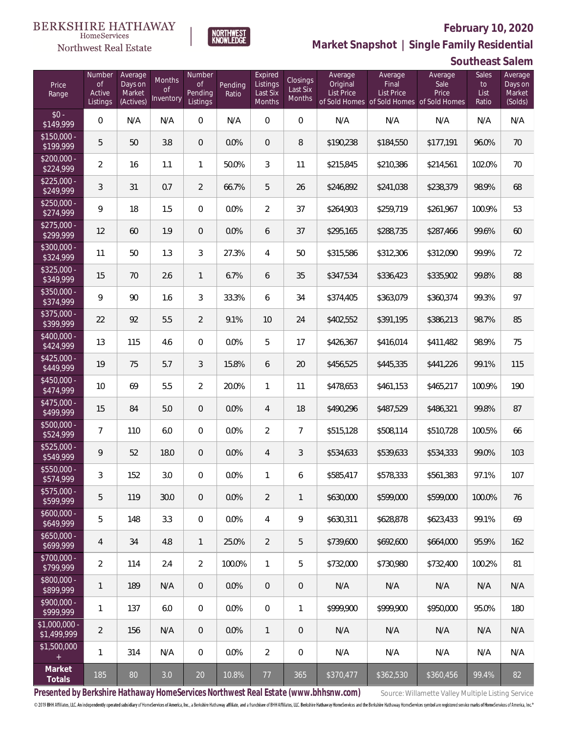

 $\label{lem:sevices} \textsc{Home} \textsc{Service} \textsc{s}$ Northwest Real Estate

**Market Snapshot | Single Family Residential**

#### **Southeast Salem**

| Price<br>Range               | Number<br><b>of</b><br>Active<br>Listings | Average<br>Days on<br>Market<br>(Actives) | Months<br><b>of</b><br>Inventory | Number<br>of<br>Pending<br>Listings | Pending<br>Ratio | Expired<br>Listings<br>Last Six<br><b>Months</b> | Closings<br>Last Six<br>Months | Average<br>Original<br><b>List Price</b> | Average<br>Final<br><b>List Price</b><br>of Sold Homes of Sold Homes of Sold Homes | Average<br>Sale<br>Price | Sales<br>to<br>List<br>Ratio | Average<br>Days on<br>Market<br>(Solds) |
|------------------------------|-------------------------------------------|-------------------------------------------|----------------------------------|-------------------------------------|------------------|--------------------------------------------------|--------------------------------|------------------------------------------|------------------------------------------------------------------------------------|--------------------------|------------------------------|-----------------------------------------|
| $$0 -$<br>\$149,999          | $\overline{0}$                            | N/A                                       | N/A                              | $\mathbf{0}$                        | N/A              | $\Omega$                                         | $\overline{0}$                 | N/A                                      | N/A                                                                                | N/A                      | N/A                          | N/A                                     |
| $$150,000 -$<br>\$199,999    | 5                                         | 50                                        | 3.8                              | $\overline{0}$                      | 0.0%             | $\overline{0}$                                   | 8                              | \$190,238                                | \$184,550                                                                          | \$177,191                | 96.0%                        | 70                                      |
| $$200,000 -$<br>\$224,999    | $\overline{2}$                            | 16                                        | 1.1                              | $\mathbf{1}$                        | 50.0%            | 3                                                | 11                             | \$215,845                                | \$210,386                                                                          | \$214,561                | 102.0%                       | 70                                      |
| $$225,000 -$<br>\$249,999    | $\mathfrak{Z}$                            | 31                                        | 0.7                              | $\overline{2}$                      | 66.7%            | 5                                                | 26                             | \$246,892                                | \$241,038                                                                          | \$238,379                | 98.9%                        | 68                                      |
| $$250,000 -$<br>\$274,999    | 9                                         | 18                                        | 1.5                              | $\overline{0}$                      | 0.0%             | $\overline{2}$                                   | 37                             | \$264,903                                | \$259,719                                                                          | \$261,967                | 100.9%                       | 53                                      |
| $$275,000 -$<br>\$299,999    | 12                                        | 60                                        | 1.9                              | $\overline{0}$                      | 0.0%             | 6                                                | 37                             | \$295,165                                | \$288,735                                                                          | \$287,466                | 99.6%                        | 60                                      |
| $$300,000 -$<br>\$324,999    | 11                                        | 50                                        | 1.3                              | 3                                   | 27.3%            | 4                                                | 50                             | \$315,586                                | \$312,306                                                                          | \$312,090                | 99.9%                        | 72                                      |
| $$325,000 -$<br>\$349,999    | 15                                        | 70                                        | 2.6                              | $\mathbf{1}$                        | 6.7%             | 6                                                | 35                             | \$347,534                                | \$336,423                                                                          | \$335,902                | 99.8%                        | 88                                      |
| $$350,000 -$<br>\$374,999    | 9                                         | 90                                        | 1.6                              | 3                                   | 33.3%            | 6                                                | 34                             | \$374,405                                | \$363,079                                                                          | \$360,374                | 99.3%                        | 97                                      |
| $$375,000 -$<br>\$399,999    | 22                                        | 92                                        | 5.5                              | $\overline{2}$                      | 9.1%             | 10                                               | 24                             | \$402,552                                | \$391,195                                                                          | \$386,213                | 98.7%                        | 85                                      |
| $$400,000 -$<br>\$424,999    | 13                                        | 115                                       | 4.6                              | $\Omega$                            | 0.0%             | 5                                                | 17                             | \$426,367                                | \$416,014                                                                          | \$411,482                | 98.9%                        | 75                                      |
| $$425,000 -$<br>\$449,999    | 19                                        | 75                                        | 5.7                              | 3                                   | 15.8%            | 6                                                | 20                             | \$456,525                                | \$445,335                                                                          | \$441,226                | 99.1%                        | 115                                     |
| $$450,000 -$<br>\$474,999    | 10 <sup>°</sup>                           | 69                                        | 5.5                              | $\overline{2}$                      | 20.0%            | 1                                                | 11                             | \$478,653                                | \$461,153                                                                          | \$465,217                | 100.9%                       | 190                                     |
| $$475,000 -$<br>\$499,999    | 15                                        | 84                                        | 5.0                              | $\overline{0}$                      | 0.0%             | $\overline{4}$                                   | 18                             | \$490,296                                | \$487,529                                                                          | \$486,321                | 99.8%                        | 87                                      |
| $$500,000 -$<br>\$524,999    | $7\overline{ }$                           | 110                                       | 6.0                              | $\overline{0}$                      | 0.0%             | $\overline{2}$                                   | $\overline{7}$                 | \$515,128                                | \$508,114                                                                          | \$510,728                | 100.5%                       | 66                                      |
| \$525,000 -<br>\$549,999     | $\mathsf{Q}$                              | 52                                        | 18.0                             | $\overline{0}$                      | 0.0%             | $\overline{4}$                                   | 3                              | \$534,633                                | \$539,633                                                                          | \$534,333                | 99.0%                        | 103                                     |
| \$550,000 -<br>\$574,999     | $\mathfrak{Z}$                            | 152                                       | 3.0                              | $\overline{0}$                      | 0.0%             | 1                                                | 6                              | \$585,417                                | \$578,333                                                                          | \$561,383                | 97.1%                        | 107                                     |
| \$575,000 -<br>\$599,999     | 5                                         | 119                                       | 30.0                             | $\theta$                            | 0.0%             | $\overline{2}$                                   | $\mathbf{1}$                   | \$630,000                                | \$599,000                                                                          | \$599,000                | 100.0%                       | 76                                      |
| $$600,000 -$<br>\$649,999    | 5                                         | 148                                       | 3.3                              | $\mathbf 0$                         | 0.0%             | $\overline{4}$                                   | 9                              | \$630,311                                | \$628,878                                                                          | \$623,433                | 99.1%                        | 69                                      |
| $$650,000 -$<br>\$699,999    | $\overline{4}$                            | 34                                        | 4.8                              | 1                                   | 25.0%            | $\overline{2}$                                   | 5                              | \$739,600                                | \$692,600                                                                          | \$664,000                | 95.9%                        | 162                                     |
| $$700,000 -$<br>\$799,999    | $\overline{2}$                            | 114                                       | 2.4                              | $\overline{2}$                      | 100.0%           | $\mathbf{1}$                                     | 5                              | \$732,000                                | \$730,980                                                                          | \$732,400                | 100.2%                       | 81                                      |
| $$800,000 -$<br>\$899,999    | $\mathbf{1}$                              | 189                                       | N/A                              | $\overline{0}$                      | 0.0%             | $\overline{0}$                                   | $\mathbf 0$                    | N/A                                      | N/A                                                                                | N/A                      | N/A                          | N/A                                     |
| $$900,000 -$<br>\$999,999    | $\mathbf{1}$                              | 137                                       | 6.0                              | $\overline{0}$                      | 0.0%             | $\sqrt{0}$                                       | 1                              | \$999,900                                | \$999,900                                                                          | \$950,000                | 95.0%                        | 180                                     |
| \$1,000,000 -<br>\$1,499,999 | $\overline{2}$                            | 156                                       | N/A                              | $\overline{0}$                      | 0.0%             | $\mathbf{1}$                                     | $\overline{0}$                 | N/A                                      | N/A                                                                                | N/A                      | N/A                          | N/A                                     |
| \$1,500,000<br>$+$           | $\mathbf{1}$                              | 314                                       | N/A                              | 0                                   | 0.0%             | $\overline{2}$                                   | 0                              | N/A                                      | N/A                                                                                | N/A                      | N/A                          | N/A                                     |
| Market<br>Totals             | 185                                       | 80                                        | 3.0                              | 20                                  | 10.8%            | 77                                               | 365                            | \$370,477                                | \$362,530                                                                          | \$360,456                | 99.4%                        | 82                                      |

Presented by Berkshire Hathaway HomeServices Northwest Real Estate (www.bhhsnw.com) source: Willamette Valley Multiple Listing Service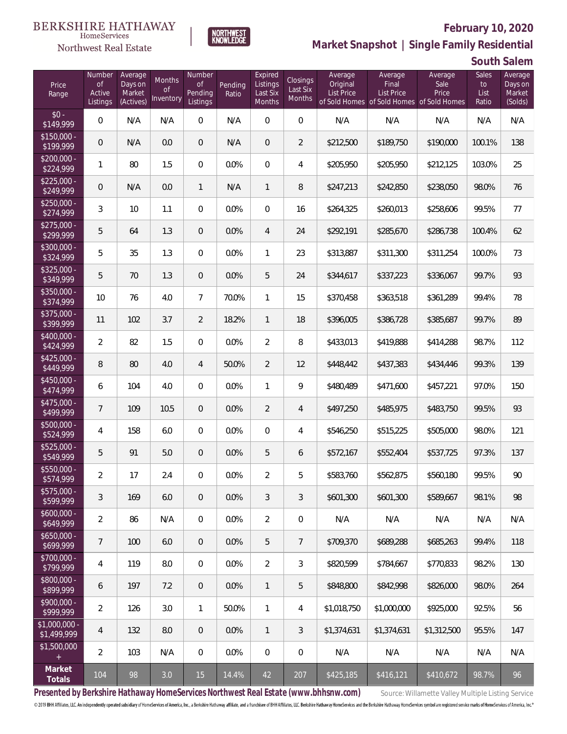

**NORTHWEST**<br>KNOWLEDGE

Northwest Real Estate

**Market Snapshot | Single Family Residential**

**South Salem**

| Price<br>Range                | Number<br><b>of</b><br>Active<br>Listings | Average<br>Days on<br>Market<br>(Actives) | Months<br>Οf<br>Inventory | Number<br><b>of</b><br>Pending<br>Listings | Pending<br>Ratio | Expired<br>Listings<br>Last Six<br>Months | Closings<br>Last Six<br>Months | Average<br>Original<br><b>List Price</b> | Average<br>Final<br><b>List Price</b><br>of Sold Homes of Sold Homes of Sold Homes | Average<br>Sale<br>Price | Sales<br>to<br>List<br>Ratio | Average<br>Days on<br>Market<br>(Solds) |
|-------------------------------|-------------------------------------------|-------------------------------------------|---------------------------|--------------------------------------------|------------------|-------------------------------------------|--------------------------------|------------------------------------------|------------------------------------------------------------------------------------|--------------------------|------------------------------|-----------------------------------------|
| $$0 -$<br>\$149,999           | $\overline{0}$                            | N/A                                       | N/A                       | $\Omega$                                   | N/A              | $\Omega$                                  | $\overline{0}$                 | N/A                                      | N/A                                                                                | N/A                      | N/A                          | N/A                                     |
| $$150,000 -$<br>\$199,999     | $\overline{0}$                            | N/A                                       | 0.0                       | $\overline{0}$                             | N/A              | $\Omega$                                  | $\overline{2}$                 | \$212,500                                | \$189,750                                                                          | \$190,000                | 100.1%                       | 138                                     |
| $$200,000 -$<br>\$224,999     | 1                                         | 80                                        | 1.5                       | $\overline{0}$                             | 0.0%             | $\Omega$                                  | $\overline{4}$                 | \$205,950                                | \$205,950                                                                          | \$212,125                | 103.0%                       | 25                                      |
| $$225,000 -$<br>\$249,999     | $\overline{0}$                            | N/A                                       | 0.0                       | $\mathbf{1}$                               | N/A              | $\mathbf{1}$                              | 8                              | \$247,213                                | \$242,850                                                                          | \$238,050                | 98.0%                        | 76                                      |
| $$250,000 -$<br>\$274,999     | 3                                         | 10                                        | 1.1                       | $\overline{0}$                             | 0.0%             | 0                                         | 16                             | \$264,325                                | \$260,013                                                                          | \$258,606                | 99.5%                        | 77                                      |
| $$275,000 -$<br>\$299,999     | 5                                         | 64                                        | 1.3                       | $\overline{0}$                             | 0.0%             | $\overline{4}$                            | 24                             | \$292,191                                | \$285,670                                                                          | \$286,738                | 100.4%                       | 62                                      |
| $$300,000 -$<br>\$324,999     | 5                                         | 35                                        | 1.3                       | $\Omega$                                   | 0.0%             | $\mathbf{1}$                              | 23                             | \$313,887                                | \$311,300                                                                          | \$311,254                | 100.0%                       | 73                                      |
| $$325,000 -$<br>\$349,999     | 5                                         | 70                                        | 1.3                       | $\overline{0}$                             | 0.0%             | 5                                         | 24                             | \$344,617                                | \$337,223                                                                          | \$336,067                | 99.7%                        | 93                                      |
| \$350,000 -<br>\$374,999      | 10                                        | 76                                        | 4.0                       | $\overline{7}$                             | 70.0%            | $\mathbf{1}$                              | 15                             | \$370,458                                | \$363,518                                                                          | \$361,289                | 99.4%                        | 78                                      |
| \$375,000 -<br>\$399,999      | 11                                        | 102                                       | 3.7                       | $\overline{2}$                             | 18.2%            | $\mathbf{1}$                              | 18                             | \$396,005                                | \$386,728                                                                          | \$385,687                | 99.7%                        | 89                                      |
| $$400,000 -$<br>\$424,999     | $\overline{2}$                            | 82                                        | 1.5                       | $\overline{0}$                             | 0.0%             | $\overline{2}$                            | 8                              | \$433,013                                | \$419,888                                                                          | \$414,288                | 98.7%                        | 112                                     |
| $$425,000 -$<br>\$449,999     | 8                                         | 80                                        | 4.0                       | 4                                          | 50.0%            | $\overline{2}$                            | 12                             | \$448,442                                | \$437,383                                                                          | \$434,446                | 99.3%                        | 139                                     |
| $$450,000 -$<br>\$474,999     | 6                                         | 104                                       | 4.0                       | $\Omega$                                   | 0.0%             | $\mathbf{1}$                              | 9                              | \$480,489                                | \$471,600                                                                          | \$457,221                | 97.0%                        | 150                                     |
| $$475,000 -$<br>\$499,999     | $\overline{7}$                            | 109                                       | 10.5                      | $\overline{0}$                             | 0.0%             | $\overline{2}$                            | $\overline{4}$                 | \$497,250                                | \$485,975                                                                          | \$483,750                | 99.5%                        | 93                                      |
| \$500,000 -<br>\$524,999      | $\overline{4}$                            | 158                                       | 6.0                       | $\Omega$                                   | 0.0%             | $\overline{0}$                            | $\overline{4}$                 | \$546,250                                | \$515,225                                                                          | \$505,000                | 98.0%                        | 121                                     |
| $$525,000 -$<br>\$549,999     | 5                                         | 91                                        | 5.0                       | $\overline{0}$                             | 0.0%             | 5                                         | 6                              | \$572,167                                | \$552,404                                                                          | \$537,725                | 97.3%                        | 137                                     |
| \$550,000 -<br>\$574,999      | $\overline{a}$                            | 17                                        | 2.4                       | $\Omega$                                   | 0.0%             | $\overline{2}$                            | 5                              | \$583,760                                | \$562,875                                                                          | \$560,180                | 99.5%                        | 90                                      |
| \$575,000 -<br>\$599,999      | $\mathfrak{Z}$                            | 169                                       | 6.0                       | $\overline{0}$                             | 0.0%             | 3                                         | 3                              | \$601,300                                | \$601,300                                                                          | \$589,667                | 98.1%                        | 98                                      |
| $$600,000 -$<br>\$649,999     | $\overline{2}$                            | 86                                        | N/A                       | $\mathbf 0$                                | 0.0%             | $\overline{2}$                            | $\mathbf 0$                    | N/A                                      | N/A                                                                                | N/A                      | N/A                          | N/A                                     |
| $$650,000 -$<br>\$699,999     | $\overline{7}$                            | 100                                       | 6.0                       | $\overline{0}$                             | 0.0%             | 5                                         | $\overline{7}$                 | \$709,370                                | \$689,288                                                                          | \$685,263                | 99.4%                        | 118                                     |
| $$700,000 -$<br>\$799,999     | 4                                         | 119                                       | 8.0                       | $\mathbf 0$                                | 0.0%             | $\overline{2}$                            | $\mathfrak{Z}$                 | \$820,599                                | \$784,667                                                                          | \$770,833                | 98.2%                        | 130                                     |
| $$800,000 -$<br>\$899,999     | 6                                         | 197                                       | 7.2                       | $\overline{0}$                             | 0.0%             | $\mathbf{1}$                              | 5                              | \$848,800                                | \$842,998                                                                          | \$826,000                | 98.0%                        | 264                                     |
| $$900,000 -$<br>\$999,999     | $\overline{2}$                            | 126                                       | 3.0                       | $\mathbf{1}$                               | 50.0%            | 1                                         | 4                              | \$1,018,750                              | \$1,000,000                                                                        | \$925,000                | 92.5%                        | 56                                      |
| $$1,000,000 -$<br>\$1,499,999 | $\overline{4}$                            | 132                                       | 8.0                       | $\overline{0}$                             | 0.0%             | $\mathbf{1}$                              | $\sqrt{3}$                     | \$1,374,631                              | \$1,374,631                                                                        | \$1,312,500              | 95.5%                        | 147                                     |
| \$1,500,000<br>$+$            | $\overline{2}$                            | 103                                       | N/A                       | $\mathbf 0$                                | 0.0%             | $\mathbf 0$                               | $\mathbf 0$                    | N/A                                      | N/A                                                                                | N/A                      | N/A                          | N/A                                     |
| Market<br>Totals              | 104                                       | 98                                        | 3.0                       | 15                                         | 14.4%            | 42                                        | 207                            | \$425,185                                | \$416,121                                                                          | \$410,672                | 98.7%                        | 96                                      |

Presented by Berkshire Hathaway HomeServices Northwest Real Estate (www.bhhsnw.com) source: Willamette Valley Multiple Listing Service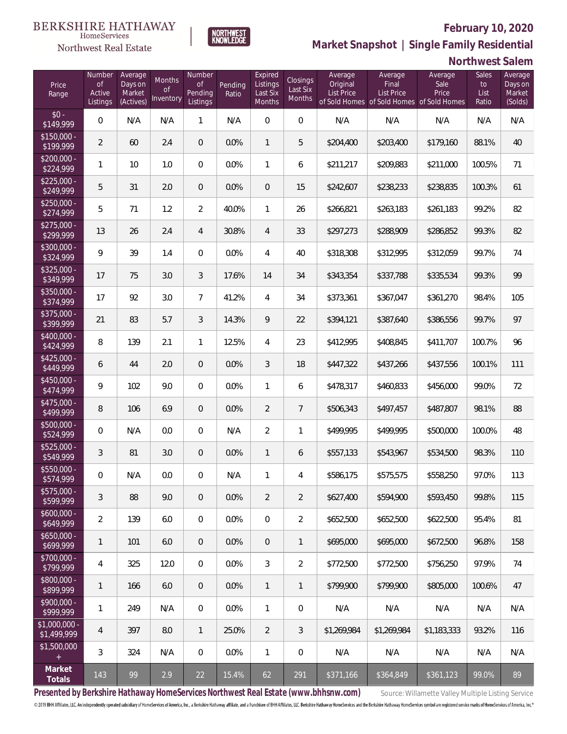

**NORTHWEST**<br>KNOWLEDGE

Northwest Real Estate

**Market Snapshot | Single Family Residential**

### **Northwest Salem**

| Price<br>Range               | Number<br><b>of</b><br>Active<br>Listings | Average<br>Days on<br>Market<br>(Actives) | <b>Months</b><br>0f<br>Inventory | Number<br><b>of</b><br>Pending<br>Listings | Pending<br>Ratio | Expired<br>Listings<br>Last Six<br>Months | Closings<br>Last Six<br>Months | Average<br>Original<br>List Price | Average<br>Final<br><b>List Price</b><br>of Sold Homes of Sold Homes of Sold Homes | Average<br>Sale<br>Price | Sales<br>to<br>List<br>Ratio | Average<br>Days on<br>Market<br>(Solds) |
|------------------------------|-------------------------------------------|-------------------------------------------|----------------------------------|--------------------------------------------|------------------|-------------------------------------------|--------------------------------|-----------------------------------|------------------------------------------------------------------------------------|--------------------------|------------------------------|-----------------------------------------|
| $$0 -$<br>\$149,999          | $\overline{0}$                            | N/A                                       | N/A                              | $\mathbf{1}$                               | N/A              | $\Omega$                                  | 0                              | N/A                               | N/A                                                                                | N/A                      | N/A                          | N/A                                     |
| $$150,000 -$<br>\$199,999    | $\overline{2}$                            | 60                                        | 2.4                              | $\overline{0}$                             | 0.0%             | $\mathbf{1}$                              | 5                              | \$204,400                         | \$203,400                                                                          | \$179,160                | 88.1%                        | 40                                      |
| $$200,000 -$<br>\$224,999    | $\mathbf{1}$                              | 10                                        | 1.0                              | $\overline{0}$                             | 0.0%             | $\mathbf{1}$                              | 6                              | \$211,217                         | \$209,883                                                                          | \$211,000                | 100.5%                       | 71                                      |
| $$225,000 -$<br>\$249,999    | 5                                         | 31                                        | 2.0                              | $\overline{0}$                             | 0.0%             | $\overline{0}$                            | 15                             | \$242,607                         | \$238,233                                                                          | \$238,835                | 100.3%                       | 61                                      |
| $$250,000 -$<br>\$274,999    | 5                                         | 71                                        | 1.2                              | $\overline{2}$                             | 40.0%            | $\mathbf{1}$                              | 26                             | \$266,821                         | \$263,183                                                                          | \$261,183                | 99.2%                        | 82                                      |
| $$275,000 -$<br>\$299,999    | 13                                        | 26                                        | 2.4                              | $\overline{4}$                             | 30.8%            | $\overline{4}$                            | 33                             | \$297,273                         | \$288,909                                                                          | \$286,852                | 99.3%                        | 82                                      |
| $$300,000 -$<br>\$324,999    | 9                                         | 39                                        | 1.4                              | $\overline{0}$                             | 0.0%             | $\overline{4}$                            | 40                             | \$318,308                         | \$312,995                                                                          | \$312,059                | 99.7%                        | 74                                      |
| $$325,000 -$<br>\$349,999    | 17                                        | 75                                        | 3.0                              | $\mathfrak{Z}$                             | 17.6%            | 14                                        | 34                             | \$343,354                         | \$337,788                                                                          | \$335,534                | 99.3%                        | 99                                      |
| $$350,000 -$<br>\$374,999    | 17                                        | 92                                        | 3.0                              | $\overline{7}$                             | 41.2%            | $\overline{4}$                            | 34                             | \$373,361                         | \$367,047                                                                          | \$361,270                | 98.4%                        | 105                                     |
| $$375,000 -$<br>\$399,999    | 21                                        | 83                                        | 5.7                              | $\mathfrak{Z}$                             | 14.3%            | 9                                         | 22                             | \$394,121                         | \$387,640                                                                          | \$386,556                | 99.7%                        | 97                                      |
| $$400,000 -$<br>\$424,999    | 8                                         | 139                                       | 2.1                              | $\mathbf{1}$                               | 12.5%            | $\overline{4}$                            | 23                             | \$412,995                         | \$408,845                                                                          | \$411,707                | 100.7%                       | 96                                      |
| $$425,000 -$<br>\$449,999    | 6                                         | 44                                        | 2.0                              | $\overline{0}$                             | 0.0%             | $\mathfrak{Z}$                            | 18                             | \$447,322                         | \$437,266                                                                          | \$437,556                | 100.1%                       | 111                                     |
| $$450,000 -$<br>\$474,999    | 9                                         | 102                                       | 9.0                              | $\mathbf 0$                                | 0.0%             | $\mathbf{1}$                              | 6                              | \$478,317                         | \$460,833                                                                          | \$456,000                | 99.0%                        | 72                                      |
| $$475,000 -$<br>\$499,999    | 8                                         | 106                                       | 6.9                              | $\overline{0}$                             | 0.0%             | $\overline{2}$                            | $\overline{7}$                 | \$506,343                         | \$497,457                                                                          | \$487,807                | 98.1%                        | 88                                      |
| \$500,000 -<br>\$524,999     | $\overline{0}$                            | N/A                                       | 0.0                              | $\overline{0}$                             | N/A              | $\overline{2}$                            | $\mathbf{1}$                   | \$499,995                         | \$499,995                                                                          | \$500,000                | 100.0%                       | 48                                      |
| \$525,000 -<br>\$549,999     | 3                                         | 81                                        | 3.0                              | $\overline{0}$                             | 0.0%             | $\mathbf{1}$                              | 6                              | \$557,133                         | \$543,967                                                                          | \$534,500                | 98.3%                        | 110                                     |
| \$550,000 -<br>\$574,999     | 0                                         | N/A                                       | 0.0                              | $\overline{0}$                             | N/A              | 1                                         | 4                              | \$586,175                         | \$575,575                                                                          | \$558,250                | 97.0%                        | 113                                     |
| \$575,000 -<br>\$599,999     | 3                                         | 88                                        | 9.0                              | $\overline{0}$                             | 0.0%             | $\overline{2}$                            | $\overline{2}$                 | \$627,400                         | \$594,900                                                                          | \$593,450                | 99.8%                        | 115                                     |
| $$600,000 -$<br>\$649,999    | $\overline{2}$                            | 139                                       | 6.0                              | $\overline{0}$                             | 0.0%             | $\overline{0}$                            | $\overline{2}$                 | \$652,500                         | \$652,500                                                                          | \$622,500                | 95.4%                        | 81                                      |
| $$650,000 -$<br>\$699,999    | $\mathbf{1}$                              | 101                                       | 6.0                              | $\overline{0}$                             | 0.0%             | $\overline{0}$                            | 1                              | \$695,000                         | \$695,000                                                                          | \$672,500                | 96.8%                        | 158                                     |
| $$700,000 -$<br>\$799,999    | 4                                         | 325                                       | 12.0                             | $\overline{0}$                             | 0.0%             | 3                                         | $\overline{2}$                 | \$772,500                         | \$772,500                                                                          | \$756,250                | 97.9%                        | 74                                      |
| $$800,000 -$<br>\$899,999    | $\mathbf{1}$                              | 166                                       | 6.0                              | $\overline{0}$                             | 0.0%             | $\mathbf{1}$                              | 1                              | \$799,900                         | \$799,900                                                                          | \$805,000                | 100.6%                       | 47                                      |
| $$900,000 -$<br>\$999,999    | 1                                         | 249                                       | N/A                              | $\overline{0}$                             | 0.0%             | $\mathbf{1}$                              | 0                              | N/A                               | N/A                                                                                | N/A                      | N/A                          | N/A                                     |
| \$1,000,000 -<br>\$1,499,999 | 4                                         | 397                                       | 8.0                              | $\mathbf{1}$                               | 25.0%            | 2                                         | 3                              | \$1,269,984                       | \$1,269,984                                                                        | \$1,183,333              | 93.2%                        | 116                                     |
| \$1,500,000<br>$+$           | 3                                         | 324                                       | N/A                              | 0                                          | 0.0%             | $\mathbf{1}$                              | 0                              | N/A                               | N/A                                                                                | N/A                      | N/A                          | N/A                                     |
| Market<br>Totals             | 143                                       | 99                                        | 2.9                              | 22                                         | 15.4%            | 62                                        | 291                            | \$371,166                         | \$364,849                                                                          | \$361,123                | 99.0%                        | 89                                      |

Presented by Berkshire Hathaway HomeServices Northwest Real Estate (www.bhhsnw.com) source: Willamette Valley Multiple Listing Service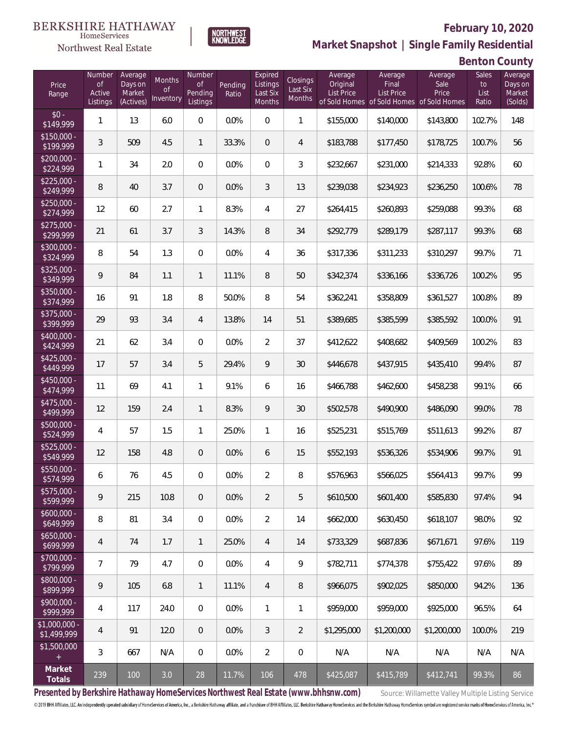

### **February 10, 2020**

**Market Snapshot | Single Family Residential**

# **Benton County**

| Price<br>Range               | Number<br><b>of</b><br>Active<br>Listings | Average<br>Days on<br>Market<br>(Actives) | Months<br><b>of</b><br>Inventory | Number<br><b>of</b><br><b>Pending</b><br>Listings | Pending<br>Ratio | Expired<br>Listings<br>Last Six<br>Months | Closings<br>Last Six<br>Months | Average<br>Original<br><b>List Price</b> | Average<br>Final<br><b>List Price</b><br>of Sold Homes of Sold Homes of Sold Homes | Average<br>Sale<br>Price | Sales<br>to<br>List<br>Ratio | Average<br>Days on<br>Market<br>(Solds) |
|------------------------------|-------------------------------------------|-------------------------------------------|----------------------------------|---------------------------------------------------|------------------|-------------------------------------------|--------------------------------|------------------------------------------|------------------------------------------------------------------------------------|--------------------------|------------------------------|-----------------------------------------|
| $$0 -$<br>$\sqrt{$149,999}$  | $\mathbf{1}$                              | 13                                        | 6.0                              | $\overline{0}$                                    | 0.0%             | $\overline{0}$                            | $\mathbf{1}$                   | \$155,000                                | \$140,000                                                                          | \$143,800                | 102.7%                       | 148                                     |
| $$150,000 -$<br>\$199,999    | 3                                         | 509                                       | 4.5                              | $\mathbf{1}$                                      | 33.3%            | $\overline{0}$                            | $\overline{4}$                 | \$183,788                                | \$177,450                                                                          | \$178,725                | 100.7%                       | 56                                      |
| $$200,000 -$<br>\$224,999    | 1                                         | 34                                        | 2.0                              | $\overline{0}$                                    | 0.0%             | $\overline{0}$                            | $\mathfrak{Z}$                 | \$232,667                                | \$231,000                                                                          | \$214,333                | 92.8%                        | 60                                      |
| $$225,000 -$<br>\$249,999    | 8                                         | 40                                        | 3.7                              | $\overline{0}$                                    | 0.0%             | 3                                         | 13                             | \$239,038                                | \$234,923                                                                          | \$236,250                | 100.6%                       | 78                                      |
| $$250,000 -$<br>\$274,999    | 12                                        | 60                                        | 2.7                              | $\mathbf{1}$                                      | 8.3%             | $\overline{4}$                            | 27                             | \$264,415                                | \$260,893                                                                          | \$259,088                | 99.3%                        | 68                                      |
| $$275,000 -$<br>\$299,999    | 21                                        | 61                                        | 3.7                              | $\mathfrak{Z}$                                    | 14.3%            | $\, 8$                                    | 34                             | \$292,779                                | \$289,179                                                                          | \$287,117                | 99.3%                        | 68                                      |
| $$300,000 -$<br>\$324,999    | 8                                         | 54                                        | 1.3                              | $\overline{0}$                                    | 0.0%             | $\overline{4}$                            | 36                             | \$317,336                                | \$311,233                                                                          | \$310,297                | 99.7%                        | 71                                      |
| $$325,000 -$<br>\$349,999    | 9                                         | 84                                        | 1.1                              | $\mathbf{1}$                                      | 11.1%            | 8                                         | 50                             | \$342,374                                | \$336,166                                                                          | \$336,726                | 100.2%                       | 95                                      |
| \$350,000 -<br>\$374,999     | 16                                        | 91                                        | 1.8                              | 8                                                 | 50.0%            | 8                                         | 54                             | \$362,241                                | \$358,809                                                                          | \$361,527                | 100.8%                       | 89                                      |
| $$375,000 -$<br>\$399,999    | 29                                        | 93                                        | 3.4                              | $\overline{4}$                                    | 13.8%            | 14                                        | 51                             | \$389,685                                | \$385,599                                                                          | \$385,592                | 100.0%                       | 91                                      |
| $$400,000 -$<br>\$424,999    | 21                                        | 62                                        | 3.4                              | $\overline{0}$                                    | 0.0%             | $\overline{2}$                            | 37                             | \$412,622                                | \$408,682                                                                          | \$409,569                | 100.2%                       | 83                                      |
| $$425,000 -$<br>\$449,999    | 17                                        | 57                                        | 3.4                              | 5                                                 | 29.4%            | 9                                         | 30                             | \$446,678                                | \$437,915                                                                          | \$435,410                | 99.4%                        | 87                                      |
| $$450,000 -$<br>\$474,999    | 11                                        | 69                                        | 4.1                              | $\mathbf{1}$                                      | 9.1%             | 6                                         | 16                             | \$466,788                                | \$462,600                                                                          | \$458,238                | 99.1%                        | 66                                      |
| \$475,000 -<br>\$499,999     | 12                                        | 159                                       | 2.4                              | $\mathbf{1}$                                      | 8.3%             | 9                                         | 30                             | \$502,578                                | \$490,900                                                                          | \$486,090                | 99.0%                        | 78                                      |
| $$500,000 -$<br>\$524,999    | 4                                         | 57                                        | 1.5                              | $\mathbf{1}$                                      | 25.0%            | $\mathbf{1}$                              | 16                             | \$525,231                                | \$515,769                                                                          | \$511,613                | 99.2%                        | 87                                      |
| $$525,000 -$<br>\$549,999    | 12                                        | 158                                       | 4.8                              | $\overline{0}$                                    | 0.0%             | 6                                         | 15                             | \$552,193                                | \$536,326                                                                          | \$534,906                | 99.7%                        | 91                                      |
| \$550,000 -<br>\$574,999     | 6                                         | 76                                        | 4.5                              | $\overline{0}$                                    | 0.0%             | $\overline{2}$                            | 8                              | \$576,963                                | \$566,025                                                                          | \$564,413                | 99.7%                        | 99                                      |
| $$575,000 -$<br>\$599,999    | 9                                         | 215                                       | 10.8                             | $\mathbf 0$                                       | 0.0%             | $\overline{2}$                            | 5                              | \$610,500                                | \$601,400                                                                          | \$585,830                | 97.4%                        | 94                                      |
| $$600,000 -$<br>\$649,999    | 8                                         | 81                                        | 3.4                              | $\mathbf 0$                                       | 0.0%             | $\overline{2}$                            | 14                             | \$662,000                                | \$630,450                                                                          | \$618,107                | 98.0%                        | 92                                      |
| $$650,000 -$<br>\$699,999    | 4                                         | 74                                        | 1.7                              | $\mathbf{1}$                                      | 25.0%            | $\overline{4}$                            | 14                             | \$733,329                                | \$687,836                                                                          | \$671,671                | 97.6%                        | 119                                     |
| $$700,000 -$<br>\$799,999    | $\overline{7}$                            | 79                                        | 4.7                              | $\mathbf 0$                                       | 0.0%             | $\overline{4}$                            | 9                              | \$782,711                                | \$774,378                                                                          | \$755,422                | 97.6%                        | 89                                      |
| \$800,000 -<br>\$899,999     | 9                                         | 105                                       | 6.8                              | $\mathbf{1}$                                      | 11.1%            | $\overline{4}$                            | 8                              | \$966,075                                | \$902,025                                                                          | \$850,000                | 94.2%                        | 136                                     |
| \$900,000 -<br>\$999,999     | 4                                         | 117                                       | 24.0                             | $\mathbf 0$                                       | $0.0\%$          | $\mathbf{1}$                              | 1                              | \$959,000                                | \$959,000                                                                          | \$925,000                | 96.5%                        | 64                                      |
| \$1,000,000 -<br>\$1,499,999 | 4                                         | 91                                        | 12.0                             | $\mathbf 0$                                       | 0.0%             | $\mathfrak{Z}$                            | $\overline{2}$                 | \$1,295,000                              | \$1,200,000                                                                        | \$1,200,000              | 100.0%                       | 219                                     |
| \$1,500,000<br>$\pm$         | 3                                         | 667                                       | N/A                              | $\mathbf 0$                                       | 0.0%             | $\overline{2}$                            | $\boldsymbol{0}$               | N/A                                      | N/A                                                                                | N/A                      | N/A                          | N/A                                     |
| Market<br>Totals             | 239                                       | 100                                       | 3.0                              | 28                                                | 11.7%            | 106                                       | 478                            | \$425,087                                | \$415,789                                                                          | \$412,741                | 99.3%                        | 86                                      |

**NORTHWEST**<br>KNOWLEDGE

Presented by Berkshire Hathaway HomeServices Northwest Real Estate (www.bhhsnw.com) source: Willamette Valley Multiple Listing Service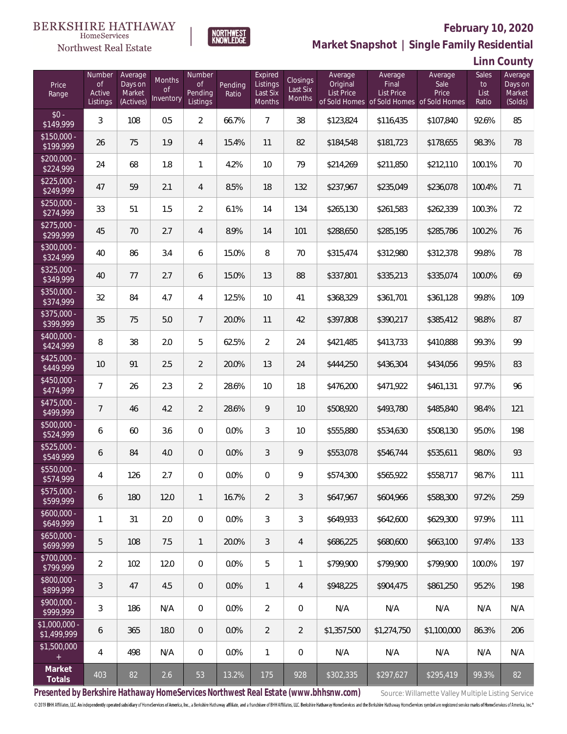

### **February 10, 2020**

**Market Snapshot | Single Family Residential**

**Linn County**

| Price<br>Range                      | Number<br>of<br>Active<br>Listings | Average<br>Days on<br>Market<br>(Actives) | Months<br>0f<br>Inventory | Number<br>0f<br>Pending<br>Listings | Pending<br>Ratio | Expired<br>Listings<br>Last Six<br>Months | <b>Closings</b><br>Last Six<br>Months | Average<br>Original<br>List Price | Average<br>Final<br><b>List Price</b><br>of Sold Homes of Sold Homes of Sold Homes | Average<br>Sale<br>Price | Sales<br>to<br>List<br>Ratio | Average<br>Days on<br>Market<br>(Solds) |
|-------------------------------------|------------------------------------|-------------------------------------------|---------------------------|-------------------------------------|------------------|-------------------------------------------|---------------------------------------|-----------------------------------|------------------------------------------------------------------------------------|--------------------------|------------------------------|-----------------------------------------|
| $$0 -$<br>\$149,999                 | 3                                  | 108                                       | 0.5                       | $\overline{2}$                      | 66.7%            | $\overline{7}$                            | 38                                    | \$123,824                         | \$116,435                                                                          | \$107,840                | 92.6%                        | 85                                      |
| $$150,000 -$<br>\$199,999           | 26                                 | 75                                        | 1.9                       | $\overline{4}$                      | 15.4%            | 11                                        | 82                                    | \$184,548                         | \$181,723                                                                          | \$178,655                | 98.3%                        | 78                                      |
| $$200,000 -$<br>\$224,999           | 24                                 | 68                                        | 1.8                       | $\mathbf{1}$                        | 4.2%             | 10                                        | 79                                    | \$214,269                         | \$211,850                                                                          | \$212,110                | 100.1%                       | 70                                      |
| $$225,000 -$<br>\$249,999           | 47                                 | 59                                        | 2.1                       | $\overline{4}$                      | 8.5%             | 18                                        | 132                                   | \$237,967                         | \$235,049                                                                          | \$236,078                | 100.4%                       | 71                                      |
| $$250,000 -$<br>\$274,999           | 33                                 | 51                                        | 1.5                       | $\overline{2}$                      | 6.1%             | 14                                        | 134                                   | \$265,130                         | \$261,583                                                                          | \$262,339                | 100.3%                       | 72                                      |
| $$275,000 -$<br>\$299,999           | 45                                 | 70                                        | 2.7                       | $\overline{4}$                      | 8.9%             | 14                                        | 101                                   | \$288,650                         | \$285,195                                                                          | \$285,786                | 100.2%                       | 76                                      |
| \$300,000 -<br>\$324,999            | 40                                 | 86                                        | 3.4                       | 6                                   | 15.0%            | 8                                         | 70                                    | \$315,474                         | \$312,980                                                                          | \$312,378                | 99.8%                        | 78                                      |
| $$325,000 -$<br>\$349,999           | 40                                 | 77                                        | 2.7                       | 6                                   | 15.0%            | 13                                        | 88                                    | \$337,801                         | \$335,213                                                                          | \$335,074                | 100.0%                       | 69                                      |
| $$350,000 -$<br>\$374,999           | 32                                 | 84                                        | 4.7                       | $\overline{4}$                      | 12.5%            | 10                                        | 41                                    | \$368,329                         | \$361,701                                                                          | \$361,128                | 99.8%                        | 109                                     |
| \$375,000 -<br>\$399,999            | 35                                 | 75                                        | 5.0                       | $\overline{7}$                      | 20.0%            | 11                                        | 42                                    | \$397,808                         | \$390,217                                                                          | \$385,412                | 98.8%                        | 87                                      |
| \$400,000 -<br>\$424,999            | 8                                  | 38                                        | 2.0                       | 5                                   | 62.5%            | $\overline{2}$                            | 24                                    | \$421,485                         | \$413,733                                                                          | \$410,888                | 99.3%                        | 99                                      |
| $$425,000 -$<br>\$449,999           | 10                                 | 91                                        | 2.5                       | $\overline{2}$                      | 20.0%            | 13                                        | 24                                    | \$444,250                         | \$436,304                                                                          | \$434,056                | 99.5%                        | 83                                      |
| \$450,000 -<br>\$474,999            | 7                                  | 26                                        | 2.3                       | $\overline{2}$                      | 28.6%            | 10                                        | 18                                    | \$476,200                         | \$471,922                                                                          | \$461,131                | 97.7%                        | 96                                      |
| $$475,000 -$<br>\$499,999           | 7                                  | 46                                        | 4.2                       | $\overline{2}$                      | 28.6%            | 9                                         | 10                                    | \$508,920                         | \$493,780                                                                          | \$485,840                | 98.4%                        | 121                                     |
| \$500,000 -<br>\$524,999            | 6                                  | 60                                        | 3.6                       | $\overline{0}$                      | 0.0%             | 3                                         | 10                                    | \$555,880                         | \$534,630                                                                          | \$508,130                | 95.0%                        | 198                                     |
| \$525,000 -<br>\$549,999            | 6                                  | 84                                        | 4.0                       | $\overline{0}$                      | 0.0%             | 3                                         | 9                                     | \$553,078                         | \$546,744                                                                          | \$535,611                | 98.0%                        | 93                                      |
| \$550,000 -<br>\$574,999            | 4                                  | 126                                       | 2.7                       | $\mathbf{0}$                        | 0.0%             | $\overline{0}$                            | 9                                     | \$574,300                         | \$565,922                                                                          | \$558,717                | 98.7%                        | 111                                     |
| $$575,000 -$<br>\$599,999           | 6                                  | 180                                       | 12.0                      | $\mathbf{1}$                        | 16.7%            | 2                                         | 3                                     | \$647,967                         | \$604,966                                                                          | \$588,300                | 97.2%                        | 259                                     |
| $$600,000 -$<br>\$649,999           | 1                                  | 31                                        | 2.0                       | $\mathbf{0}$                        | 0.0%             | 3                                         | 3                                     | \$649,933                         | \$642,600                                                                          | \$629,300                | 97.9%                        | 111                                     |
| $$650,000 -$<br>\$699,999           | 5                                  | 108                                       | 7.5                       | $\mathbf{1}$                        | 20.0%            | 3                                         | $\overline{4}$                        | \$686,225                         | \$680,600                                                                          | \$663.100                | 97.4%                        | 133                                     |
| $$700,000 -$<br>\$799,999           | 2                                  | 102                                       | 12.0                      | $\overline{0}$                      | 0.0%             | 5                                         | 1                                     | \$799.900                         | \$799.900                                                                          | \$799,900                | 100.0%                       | 197                                     |
| $$800,000 -$<br>\$899,999           | 3                                  | 47                                        | 4.5                       | $\overline{0}$                      | 0.0%             | $\mathbf{1}$                              | 4                                     | \$948.225                         | \$904.475                                                                          | \$861.250                | 95.2%                        | 198                                     |
| $$900,000 -$<br>\$999,999           | 3                                  | 186                                       | N/A                       | $\overline{0}$                      | 0.0%             | $\overline{2}$                            | $\mathbf 0$                           | N/A                               | N/A                                                                                | N/A                      | N/A                          | N/A                                     |
| $\sqrt{1,000,000}$ -<br>\$1,499,999 | 6                                  | 365                                       | 18.0                      | $\overline{0}$                      | $0.0\%$          | $\overline{2}$                            | $\overline{2}$                        | \$1,357,500                       | \$1,274,750                                                                        | \$1,100,000              | 86.3%                        | 206                                     |
| \$1,500,000                         | 4                                  | 498                                       | N/A                       | $\boldsymbol{0}$                    | 0.0%             | $\mathbf{1}$                              | $\mathbf 0$                           | N/A                               | N/A                                                                                | N/A                      | N/A                          | N/A                                     |
| Market<br>Totals                    | 403                                | 82                                        | 2.6                       | 53                                  | 13.2%            | 175                                       | 928                                   | \$302,335                         | \$297,627                                                                          | \$295,419                | 99.3%                        | 82                                      |

**NORTHWEST**<br>KNOWLEDGE

Presented by Berkshire Hathaway HomeServices Northwest Real Estate (www.bhhsnw.com) source: Willamette Valley Multiple Listing Service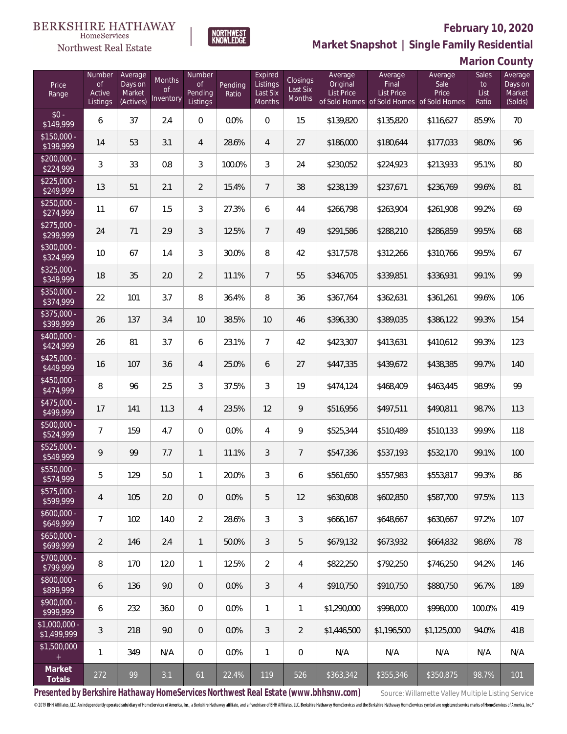

### **February 10, 2020**

**Market Snapshot | Single Family Residential**

|  |  | Marion County |  |
|--|--|---------------|--|
|--|--|---------------|--|

| Price<br>Range               | Number<br>of<br>Active<br>Listings | Average<br>Days on<br>Market<br>(Actives) | Months<br>Οf<br>Inventory | Number<br>0f<br>Pending<br>Listings | Pending<br>Ratio | Expired<br>Listings<br>Last Six<br>Months | Closings<br>Last Six<br>Months | Average<br>Original<br><b>List Price</b> | Average<br>Final<br><b>List Price</b><br>of Sold Homes of Sold Homes of Sold Homes | Average<br>Sale<br>Price | Sales<br>to<br>List<br>Ratio | Average<br>Days on<br>Market<br>(Solds) |
|------------------------------|------------------------------------|-------------------------------------------|---------------------------|-------------------------------------|------------------|-------------------------------------------|--------------------------------|------------------------------------------|------------------------------------------------------------------------------------|--------------------------|------------------------------|-----------------------------------------|
| $$0 -$<br>\$149,999          | 6                                  | 37                                        | 2.4                       | $\overline{0}$                      | 0.0%             | $\overline{0}$                            | 15                             | \$139,820                                | \$135,820                                                                          | \$116,627                | 85.9%                        | 70                                      |
| $$150,000 -$<br>\$199,999    | 14                                 | 53                                        | 3.1                       | 4                                   | 28.6%            | $\overline{4}$                            | 27                             | \$186,000                                | \$180,644                                                                          | \$177,033                | 98.0%                        | 96                                      |
| $$200,000 -$<br>\$224,999    | 3                                  | 33                                        | 0.8                       | 3                                   | 100.0%           | 3                                         | 24                             | \$230,052                                | \$224,923                                                                          | \$213,933                | 95.1%                        | 80                                      |
| $$225,000 -$<br>\$249,999    | 13                                 | 51                                        | 2.1                       | $\overline{2}$                      | 15.4%            | $7\overline{ }$                           | 38                             | \$238,139                                | \$237,671                                                                          | \$236,769                | 99.6%                        | 81                                      |
| $$250,000 -$<br>\$274,999    | 11                                 | 67                                        | 1.5                       | $\mathfrak{Z}$                      | 27.3%            | 6                                         | 44                             | \$266,798                                | \$263,904                                                                          | \$261,908                | 99.2%                        | 69                                      |
| $$275,000 -$<br>\$299,999    | 24                                 | 71                                        | 2.9                       | $\mathfrak{Z}$                      | 12.5%            | $\overline{7}$                            | 49                             | \$291,586                                | \$288,210                                                                          | \$286,859                | 99.5%                        | 68                                      |
| $$300,000 -$<br>\$324,999    | 10                                 | 67                                        | 1.4                       | 3                                   | 30.0%            | 8                                         | 42                             | \$317,578                                | \$312,266                                                                          | \$310,766                | 99.5%                        | 67                                      |
| $$325,000 -$<br>\$349,999    | 18                                 | 35                                        | 2.0                       | $\overline{2}$                      | 11.1%            | $\overline{7}$                            | 55                             | \$346,705                                | \$339,851                                                                          | \$336,931                | 99.1%                        | 99                                      |
| $$350,000 -$<br>\$374,999    | 22                                 | 101                                       | 3.7                       | $\, 8$                              | 36.4%            | 8                                         | 36                             | \$367,764                                | \$362,631                                                                          | \$361,261                | 99.6%                        | 106                                     |
| \$375,000 -<br>\$399,999     | 26                                 | 137                                       | 3.4                       | 10                                  | 38.5%            | 10                                        | 46                             | \$396,330                                | \$389,035                                                                          | \$386,122                | 99.3%                        | 154                                     |
| $$400,000 -$<br>\$424,999    | 26                                 | 81                                        | 3.7                       | 6                                   | 23.1%            | $\overline{7}$                            | 42                             | \$423,307                                | \$413,631                                                                          | \$410,612                | 99.3%                        | 123                                     |
| $$425,000 -$<br>\$449,999    | 16                                 | 107                                       | 3.6                       | 4                                   | 25.0%            | 6                                         | 27                             | \$447,335                                | \$439,672                                                                          | \$438,385                | 99.7%                        | 140                                     |
| $$450,000 -$<br>\$474,999    | 8                                  | 96                                        | 2.5                       | 3                                   | 37.5%            | $\mathcal{S}$                             | 19                             | \$474,124                                | \$468,409                                                                          | \$463,445                | 98.9%                        | 99                                      |
| $$475,000 -$<br>\$499,999    | 17                                 | 141                                       | 11.3                      | $\overline{4}$                      | 23.5%            | 12                                        | 9                              | \$516,956                                | \$497,511                                                                          | \$490,811                | 98.7%                        | 113                                     |
| $$500,000 -$<br>\$524,999    | 7                                  | 159                                       | 4.7                       | $\Omega$                            | 0.0%             | $\overline{4}$                            | 9                              | \$525,344                                | \$510,489                                                                          | \$510,133                | 99.9%                        | 118                                     |
| $$525,000 -$<br>\$549,999    | 9                                  | 99                                        | 7.7                       | $\mathbf{1}$                        | 11.1%            | $\mathfrak{Z}$                            | $7\overline{ }$                | \$547,336                                | \$537,193                                                                          | \$532,170                | 99.1%                        | 100                                     |
| $$550,000 -$<br>\$574,999    | 5                                  | 129                                       | 5.0                       | $\mathbf{1}$                        | 20.0%            | 3                                         | 6                              | \$561,650                                | \$557,983                                                                          | \$553,817                | 99.3%                        | 86                                      |
| $$575,000 -$<br>\$599,999    | 4                                  | 105                                       | 2.0                       | $\overline{0}$                      | 0.0%             | 5                                         | 12                             | \$630,608                                | \$602,850                                                                          | \$587,700                | 97.5%                        | 113                                     |
| $$600,000 -$<br>\$649,999    | $\overline{7}$                     | 102                                       | 14.0                      | $\overline{2}$                      | 28.6%            | $\mathfrak{Z}$                            | 3                              | \$666,167                                | \$648,667                                                                          | \$630,667                | 97.2%                        | 107                                     |
| $$650,000 -$<br>\$699,999    | $\overline{2}$                     | 146                                       | 2.4                       | $\mathbf{1}$                        | 50.0%            | $\mathfrak{Z}$                            | 5                              | \$679,132                                | \$673,932                                                                          | \$664,832                | 98.6%                        | 78                                      |
| $$700,000 -$<br>\$799,999    | 8                                  | 170                                       | 12.0                      | $\mathbf{1}$                        | 12.5%            | $\overline{2}$                            | 4                              | \$822,250                                | \$792,250                                                                          | \$746,250                | 94.2%                        | 146                                     |
| $$800,000 -$<br>\$899,999    | 6                                  | 136                                       | 9.0                       | $\overline{0}$                      | 0.0%             | $\mathfrak{Z}$                            | $\overline{4}$                 | \$910,750                                | \$910,750                                                                          | \$880,750                | 96.7%                        | 189                                     |
| $$900,000 -$<br>\$999,999    | 6                                  | 232                                       | 36.0                      | $\overline{0}$                      | 0.0%             | $\mathbf{1}$                              | 1                              | \$1,290,000                              | \$998,000                                                                          | \$998,000                | 100.0%                       | 419                                     |
| \$1,000,000 -<br>\$1,499,999 | 3                                  | 218                                       | 9.0                       | $\overline{0}$                      | 0.0%             | $\mathfrak{Z}$                            | $\overline{2}$                 | \$1,446,500                              | \$1,196,500                                                                        | \$1,125,000              | 94.0%                        | 418                                     |
| \$1,500,000<br>$\pm$         | 1                                  | 349                                       | N/A                       | $\mathbf 0$                         | 0.0%             | $\mathbf{1}$                              | 0                              | N/A                                      | N/A                                                                                | N/A                      | N/A                          | N/A                                     |
| Market<br>Totals             | 272                                | 99                                        | 3.1                       | 61                                  | 22.4%            | 119                                       | 526                            | \$363,342                                | \$355,346                                                                          | \$350,875                | 98.7%                        | 101                                     |

**NORTHWEST**<br>KNOWLEDGE

Presented by Berkshire Hathaway HomeServices Northwest Real Estate (www.bhhsnw.com) source: Willamette Valley Multiple Listing Service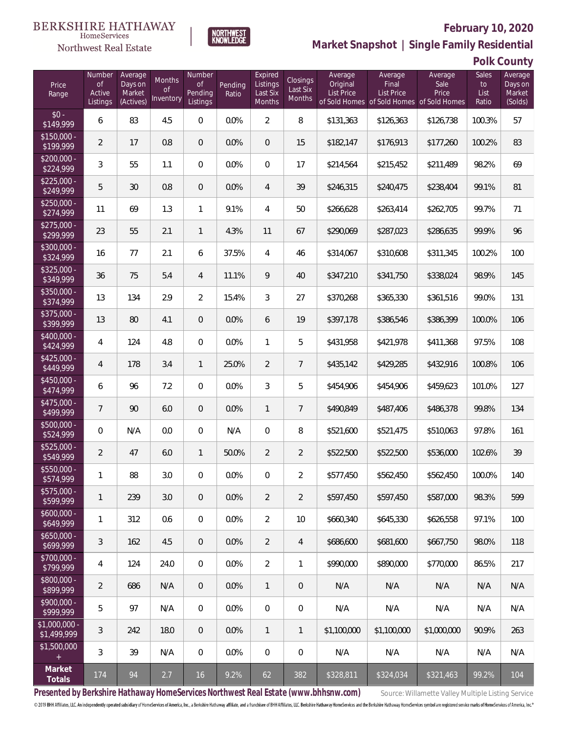### Northwest Real Estate



# **February 10, 2020**

**Market Snapshot | Single Family Residential**

**Polk County**

| Price<br>Range                | Number<br>of<br>Active<br>Listings | Average<br>Days on<br>Market<br>(Actives) | Months<br>Οf<br>Inventory | Number<br>Οf<br>Pending<br>Listings | Pending<br>Ratio | Expired<br>Listings<br>Last Six<br>Months | Closings<br>Last Six<br>Months | Average<br>Original<br>List Price | Average<br>Final<br><b>List Price</b><br>of Sold Homes of Sold Homes of Sold Homes | Average<br>Sale<br>Price | Sales<br>to<br>List<br>Ratio | Average<br>Days on<br>Market<br>(Solds) |
|-------------------------------|------------------------------------|-------------------------------------------|---------------------------|-------------------------------------|------------------|-------------------------------------------|--------------------------------|-----------------------------------|------------------------------------------------------------------------------------|--------------------------|------------------------------|-----------------------------------------|
| $$0 -$<br>\$149,999           | 6                                  | 83                                        | 4.5                       | $\overline{0}$                      | 0.0%             | $\overline{2}$                            | 8                              | \$131,363                         | \$126,363                                                                          | \$126,738                | 100.3%                       | 57                                      |
| $$150,000 -$<br>\$199,999     | $\overline{2}$                     | 17                                        | 0.8                       | $\overline{0}$                      | 0.0%             | $\Omega$                                  | 15                             | \$182,147                         | \$176,913                                                                          | \$177,260                | 100.2%                       | 83                                      |
| $$200,000 -$<br>\$224,999     | 3                                  | 55                                        | 1.1                       | $\overline{0}$                      | 0.0%             | $\Omega$                                  | 17                             | \$214,564                         | \$215,452                                                                          | \$211,489                | 98.2%                        | 69                                      |
| $$225,000 -$<br>\$249,999     | 5                                  | 30                                        | 0.8                       | $\overline{0}$                      | 0.0%             | $\overline{4}$                            | 39                             | \$246,315                         | \$240,475                                                                          | \$238,404                | 99.1%                        | 81                                      |
| $$250,000 -$<br>\$274,999     | 11                                 | 69                                        | 1.3                       | $\mathbf{1}$                        | 9.1%             | 4                                         | 50                             | \$266,628                         | \$263,414                                                                          | \$262,705                | 99.7%                        | 71                                      |
| $$275,000 -$<br>\$299,999     | 23                                 | 55                                        | 2.1                       | $\mathbf{1}$                        | 4.3%             | 11                                        | 67                             | \$290,069                         | \$287,023                                                                          | \$286,635                | 99.9%                        | 96                                      |
| $$300,000 -$<br>\$324,999     | 16                                 | 77                                        | 2.1                       | 6                                   | 37.5%            | 4                                         | 46                             | \$314,067                         | \$310,608                                                                          | \$311,345                | 100.2%                       | 100                                     |
| $$325,000 -$<br>\$349,999     | 36                                 | 75                                        | 5.4                       | $\overline{4}$                      | 11.1%            | 9                                         | 40                             | \$347,210                         | \$341,750                                                                          | \$338,024                | 98.9%                        | 145                                     |
| $$350,000 -$<br>\$374,999     | 13                                 | 134                                       | 2.9                       | $\overline{2}$                      | 15.4%            | 3                                         | 27                             | \$370,268                         | \$365,330                                                                          | \$361,516                | 99.0%                        | 131                                     |
| $$375,000 -$<br>\$399,999     | 13                                 | 80                                        | 4.1                       | $\overline{0}$                      | 0.0%             | 6                                         | 19                             | \$397,178                         | \$386,546                                                                          | \$386,399                | 100.0%                       | 106                                     |
| $$400,000 -$<br>\$424,999     | 4                                  | 124                                       | 4.8                       | $\overline{0}$                      | 0.0%             | $\mathbf{1}$                              | 5                              | \$431,958                         | \$421,978                                                                          | \$411,368                | 97.5%                        | 108                                     |
| $$425,000 -$<br>\$449,999     | $\overline{4}$                     | 178                                       | 3.4                       | $\mathbf{1}$                        | 25.0%            | $\overline{2}$                            | $\overline{7}$                 | \$435,142                         | \$429,285                                                                          | \$432,916                | 100.8%                       | 106                                     |
| $$450,000 -$<br>\$474,999     | 6                                  | 96                                        | 7.2                       | $\overline{0}$                      | 0.0%             | 3                                         | 5                              | \$454,906                         | \$454,906                                                                          | \$459,623                | 101.0%                       | 127                                     |
| $$475,000 -$<br>\$499,999     | $\overline{7}$                     | 90                                        | 6.0                       | $\overline{0}$                      | 0.0%             | $\mathbf{1}$                              | $\overline{7}$                 | \$490,849                         | \$487,406                                                                          | \$486,378                | 99.8%                        | 134                                     |
| $$500,000 -$<br>\$524,999     | $\overline{0}$                     | N/A                                       | 0.0                       | $\overline{0}$                      | N/A              | $\overline{0}$                            | 8                              | \$521,600                         | \$521,475                                                                          | \$510,063                | 97.8%                        | 161                                     |
| $$525,000 -$<br>\$549,999     | $\overline{2}$                     | 47                                        | 6.0                       | $\mathbf{1}$                        | 50.0%            | $\overline{2}$                            | $\overline{2}$                 | \$522,500                         | \$522,500                                                                          | \$536,000                | 102.6%                       | 39                                      |
| $$550,000 -$<br>\$574,999     | 1                                  | 88                                        | 3.0                       | $\mathbf{0}$                        | 0.0%             | 0                                         | $\overline{2}$                 | \$577,450                         | \$562,450                                                                          | \$562,450                | 100.0%                       | 140                                     |
| $$575,000 -$<br>\$599,999     | 1                                  | 239                                       | 3.0                       | $\theta$                            | 0.0%             | $\overline{2}$                            | $\overline{2}$                 | \$597,450                         | \$597,450                                                                          | \$587,000                | 98.3%                        | 599                                     |
| $$600,000 -$<br>\$649,999     | 1                                  | 312                                       | 0.6                       | 0                                   | 0.0%             | $\overline{2}$                            | 10                             | \$660,340                         | \$645,330                                                                          | \$626,558                | 97.1%                        | 100                                     |
| $$650,000 -$<br>\$699,999     | 3                                  | 162                                       | 4.5                       | $\overline{0}$                      | 0.0%             | $\overline{2}$                            | $\overline{4}$                 | \$686,600                         | \$681,600                                                                          | \$667,750                | 98.0%                        | 118                                     |
| $$700,000 -$<br>\$799,999     | 4                                  | 124                                       | 24.0                      | 0                                   | 0.0%             | $\overline{2}$                            | 1                              | \$990,000                         | \$890,000                                                                          | \$770,000                | 86.5%                        | 217                                     |
| \$800,000 -<br>\$899,999      | $\overline{2}$                     | 686                                       | N/A                       | $\overline{0}$                      | 0.0%             | $\mathbf{1}$                              | $\mathbf 0$                    | N/A                               | N/A                                                                                | N/A                      | N/A                          | N/A                                     |
| $$900,000 -$<br>\$999,999     | 5                                  | 97                                        | N/A                       | 0                                   | 0.0%             | $\mathbf 0$                               | $\mathbf 0$                    | N/A                               | N/A                                                                                | N/A                      | N/A                          | N/A                                     |
| $$1,000,000 -$<br>\$1,499,999 | 3                                  | 242                                       | 18.0                      | $\overline{0}$                      | 0.0%             | $\mathbf{1}$                              | 1                              | \$1,100,000                       | \$1,100,000                                                                        | \$1,000,000              | 90.9%                        | 263                                     |
| \$1,500,000<br>$+$            | 3                                  | 39                                        | N/A                       | $\mathbf 0$                         | 0.0%             | $\boldsymbol{0}$                          | $\mathbf 0$                    | N/A                               | N/A                                                                                | N/A                      | N/A                          | N/A                                     |
| Market<br>Totals              | 174                                | 94                                        | 2.7                       | 16                                  | 9.2%             | 62                                        | 382                            | \$328,811                         | \$324,034                                                                          | \$321,463                | 99.2%                        | 104                                     |

Presented by Berkshire Hathaway HomeServices Northwest Real Estate (www.bhhsnw.com) source: Willamette Valley Multiple Listing Service